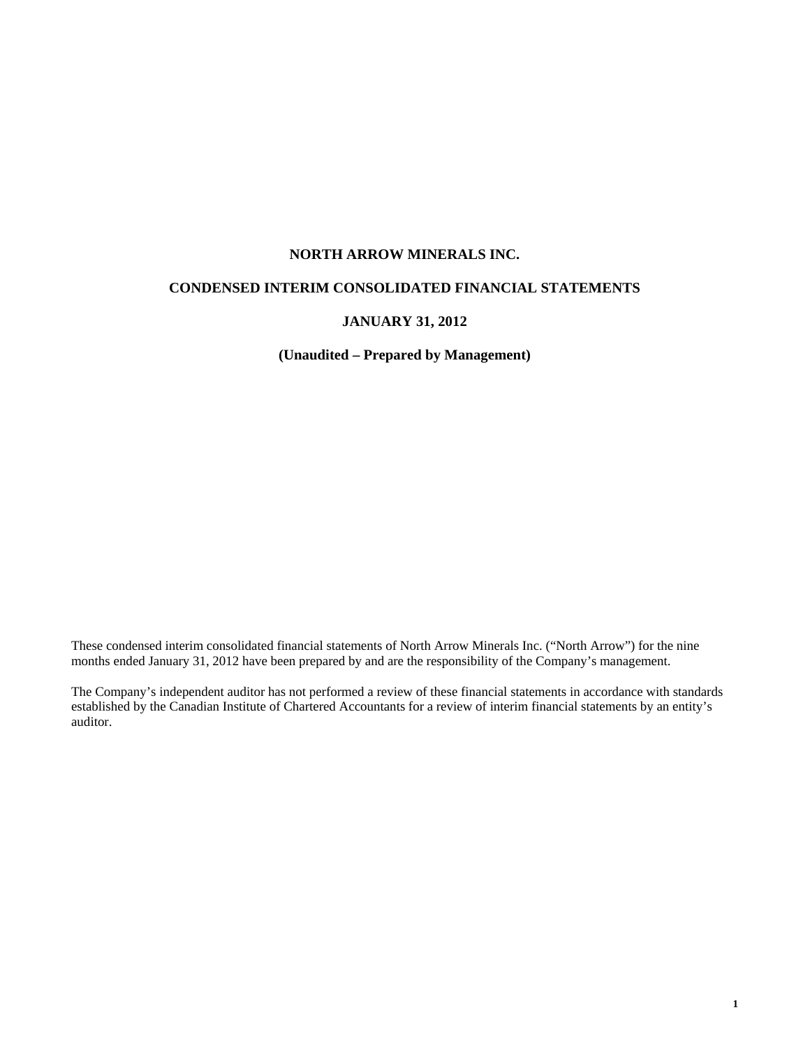## **NORTH ARROW MINERALS INC.**

## **CONDENSED INTERIM CONSOLIDATED FINANCIAL STATEMENTS**

## **JANUARY 31, 2012**

**(Unaudited – Prepared by Management)** 

These condensed interim consolidated financial statements of North Arrow Minerals Inc. ("North Arrow") for the nine months ended January 31, 2012 have been prepared by and are the responsibility of the Company's management.

The Company's independent auditor has not performed a review of these financial statements in accordance with standards established by the Canadian Institute of Chartered Accountants for a review of interim financial statements by an entity's auditor.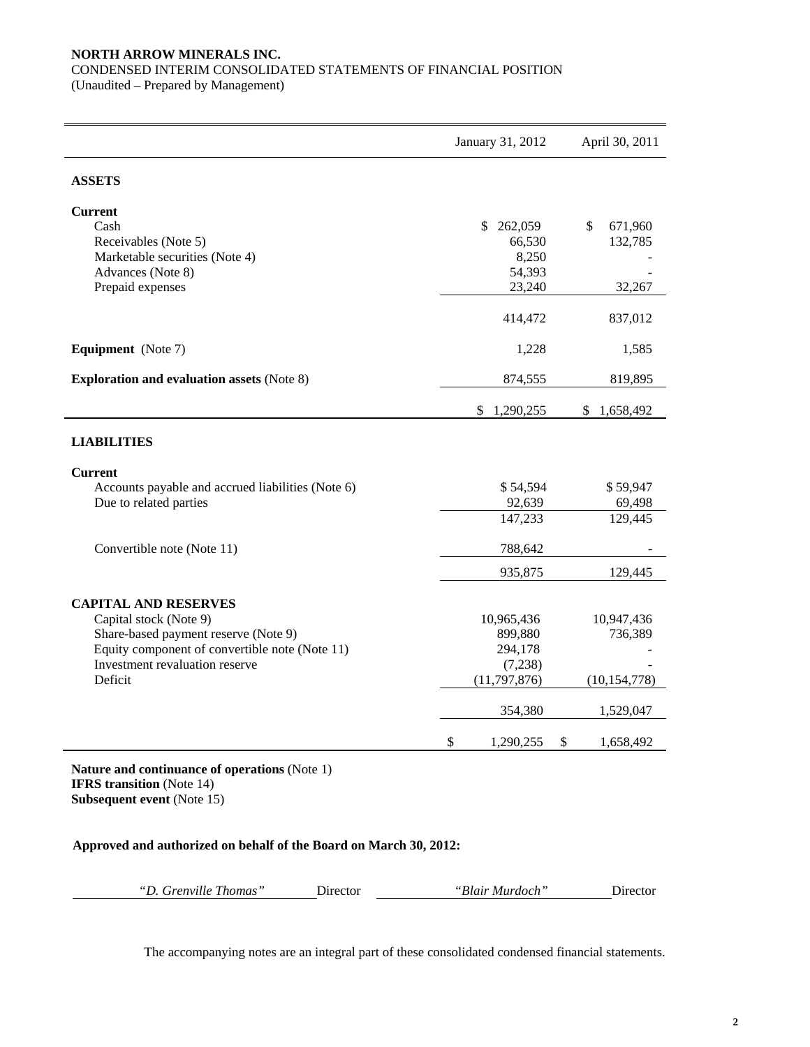## **NORTH ARROW MINERALS INC.**

CONDENSED INTERIM CONSOLIDATED STATEMENTS OF FINANCIAL POSITION

(Unaudited – Prepared by Management)

|                                                        | January 31, 2012 | April 30, 2011          |
|--------------------------------------------------------|------------------|-------------------------|
| <b>ASSETS</b>                                          |                  |                         |
| <b>Current</b>                                         |                  |                         |
| Cash                                                   | \$<br>262,059    | $\mathbb{S}$<br>671,960 |
| Receivables (Note 5)<br>Marketable securities (Note 4) | 66,530<br>8,250  | 132,785                 |
| Advances (Note 8)                                      | 54,393           |                         |
| Prepaid expenses                                       | 23,240           | 32,267                  |
|                                                        | 414,472          | 837,012                 |
| <b>Equipment</b> (Note 7)                              | 1,228            | 1,585                   |
| <b>Exploration and evaluation assets (Note 8)</b>      | 874,555          | 819,895                 |
|                                                        | 1,290,255<br>\$  | 1,658,492<br>\$         |
| <b>LIABILITIES</b>                                     |                  |                         |
| <b>Current</b>                                         |                  |                         |
| Accounts payable and accrued liabilities (Note 6)      | \$54,594         | \$59,947                |
| Due to related parties                                 | 92,639           | 69,498                  |
|                                                        | 147,233          | 129,445                 |
| Convertible note (Note 11)                             | 788,642          |                         |
|                                                        | 935,875          | 129,445                 |
| <b>CAPITAL AND RESERVES</b>                            |                  |                         |
| Capital stock (Note 9)                                 | 10,965,436       | 10,947,436              |
| Share-based payment reserve (Note 9)                   | 899,880          | 736,389                 |
| Equity component of convertible note (Note 11)         | 294,178          |                         |
| Investment revaluation reserve                         | (7,238)          |                         |
| Deficit                                                | (11, 797, 876)   | (10, 154, 778)          |
|                                                        | 354,380          | 1,529,047               |
|                                                        | \$<br>1,290,255  | $\$$<br>1,658,492       |

**IFRS transition** (Note 14)

**Subsequent event** (Note 15)

## **Approved and authorized on behalf of the Board on March 30, 2012:**

| "D. Grenville Thomas"<br>"Blair Murdoch"<br>Director |  |  |  | Director |
|------------------------------------------------------|--|--|--|----------|
|------------------------------------------------------|--|--|--|----------|

The accompanying notes are an integral part of these consolidated condensed financial statements.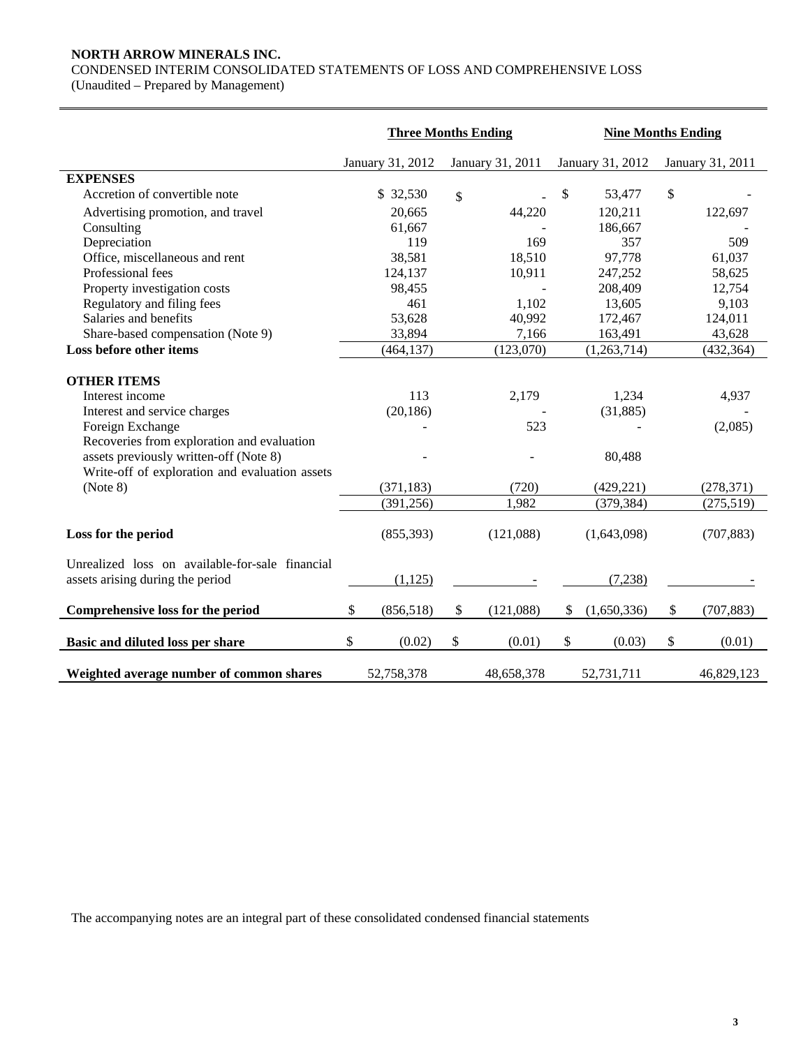## **NORTH ARROW MINERALS INC.**

CONDENSED INTERIM CONSOLIDATED STATEMENTS OF LOSS AND COMPREHENSIVE LOSS

(Unaudited – Prepared by Management)

|                                                                                                                                                                                                                                                 | <b>Three Months Ending</b>     |                       | <b>Nine Months Ending</b> |                                            |    |                                |  |
|-------------------------------------------------------------------------------------------------------------------------------------------------------------------------------------------------------------------------------------------------|--------------------------------|-----------------------|---------------------------|--------------------------------------------|----|--------------------------------|--|
|                                                                                                                                                                                                                                                 | January 31, 2012               | January 31, 2011      |                           | January 31, 2012                           |    | January 31, 2011               |  |
| <b>EXPENSES</b>                                                                                                                                                                                                                                 |                                |                       |                           |                                            |    |                                |  |
| Accretion of convertible note                                                                                                                                                                                                                   | \$ 32,530                      | \$                    | $\boldsymbol{\mathsf{S}}$ | 53,477                                     | \$ |                                |  |
| Advertising promotion, and travel                                                                                                                                                                                                               | 20,665                         | 44,220                |                           | 120,211                                    |    | 122,697                        |  |
| Consulting                                                                                                                                                                                                                                      | 61,667                         |                       |                           | 186,667                                    |    |                                |  |
| Depreciation                                                                                                                                                                                                                                    | 119                            | 169                   |                           | 357                                        |    | 509                            |  |
| Office, miscellaneous and rent                                                                                                                                                                                                                  | 38,581                         | 18,510                |                           | 97,778                                     |    | 61,037                         |  |
| Professional fees                                                                                                                                                                                                                               | 124,137                        | 10,911                |                           | 247,252                                    |    | 58,625                         |  |
| Property investigation costs                                                                                                                                                                                                                    | 98,455                         |                       |                           | 208,409                                    |    | 12,754                         |  |
| Regulatory and filing fees                                                                                                                                                                                                                      | 461                            | 1,102                 |                           | 13,605                                     |    | 9,103                          |  |
| Salaries and benefits                                                                                                                                                                                                                           | 53,628                         | 40,992                |                           | 172,467                                    |    | 124,011                        |  |
| Share-based compensation (Note 9)                                                                                                                                                                                                               | 33,894                         | 7,166                 |                           | 163,491                                    |    | 43,628                         |  |
| Loss before other items                                                                                                                                                                                                                         | (464, 137)                     | (123,070)             |                           | (1,263,714)                                |    | (432, 364)                     |  |
| <b>OTHER ITEMS</b><br>Interest income<br>Interest and service charges<br>Foreign Exchange<br>Recoveries from exploration and evaluation<br>assets previously written-off (Note 8)<br>Write-off of exploration and evaluation assets<br>(Note 8) | 113<br>(20, 186)<br>(371, 183) | 2,179<br>523<br>(720) |                           | 1,234<br>(31, 885)<br>80,488<br>(429, 221) |    | 4,937<br>(2,085)<br>(278, 371) |  |
|                                                                                                                                                                                                                                                 | (391, 256)                     | 1,982                 |                           | (379, 384)                                 |    | (275,519)                      |  |
| Loss for the period                                                                                                                                                                                                                             | (855,393)                      | (121,088)             |                           | (1,643,098)                                |    | (707, 883)                     |  |
| Unrealized loss on available-for-sale financial<br>assets arising during the period                                                                                                                                                             | (1,125)                        |                       |                           | (7,238)                                    |    |                                |  |
| Comprehensive loss for the period                                                                                                                                                                                                               | \$<br>(856,518)                | \$<br>(121,088)       | \$                        | (1,650,336)                                | \$ | (707, 883)                     |  |
| Basic and diluted loss per share                                                                                                                                                                                                                | \$<br>(0.02)                   | \$<br>(0.01)          | \$                        | (0.03)                                     | \$ | (0.01)                         |  |
| Weighted average number of common shares                                                                                                                                                                                                        | 52,758,378                     | 48,658,378            |                           | 52,731,711                                 |    | 46,829,123                     |  |

The accompanying notes are an integral part of these consolidated condensed financial statements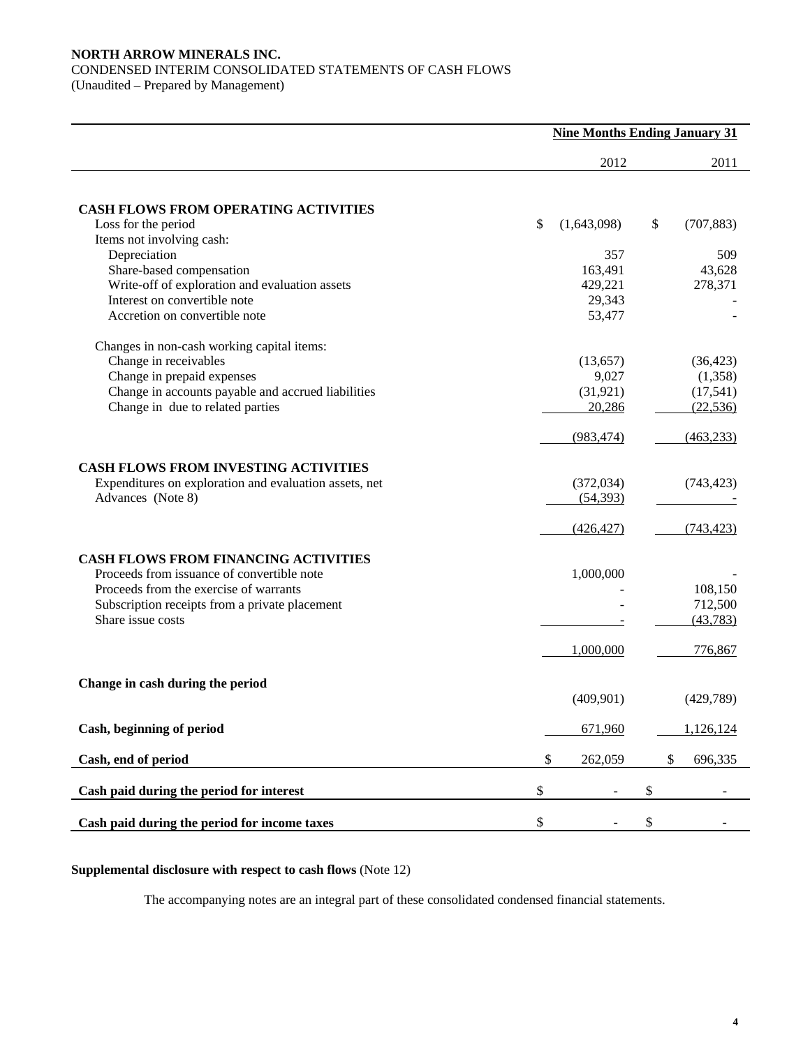## **NORTH ARROW MINERALS INC.**  CONDENSED INTERIM CONSOLIDATED STATEMENTS OF CASH FLOWS

(Unaudited – Prepared by Management)

|                                                                                | <b>Nine Months Ending January 31</b> |                  |
|--------------------------------------------------------------------------------|--------------------------------------|------------------|
|                                                                                | 2012                                 | 2011             |
|                                                                                |                                      |                  |
| <b>CASH FLOWS FROM OPERATING ACTIVITIES</b>                                    |                                      |                  |
| Loss for the period                                                            | \$<br>(1,643,098)                    | \$<br>(707, 883) |
| Items not involving cash:                                                      |                                      |                  |
| Depreciation                                                                   | 357                                  | 509              |
| Share-based compensation                                                       | 163,491                              | 43,628           |
| Write-off of exploration and evaluation assets<br>Interest on convertible note | 429,221                              | 278,371          |
|                                                                                | 29,343                               |                  |
| Accretion on convertible note                                                  | 53,477                               |                  |
| Changes in non-cash working capital items:                                     |                                      |                  |
| Change in receivables                                                          | (13, 657)                            | (36, 423)        |
| Change in prepaid expenses                                                     | 9,027                                | (1,358)          |
| Change in accounts payable and accrued liabilities                             | (31, 921)                            | (17,541)         |
| Change in due to related parties                                               | 20,286                               | (22, 536)        |
|                                                                                |                                      |                  |
|                                                                                | (983, 474)                           | (463, 233)       |
| <b>CASH FLOWS FROM INVESTING ACTIVITIES</b>                                    |                                      |                  |
| Expenditures on exploration and evaluation assets, net                         | (372, 034)                           | (743, 423)       |
| Advances (Note 8)                                                              | (54, 393)                            |                  |
|                                                                                |                                      |                  |
|                                                                                | (426, 427)                           | (743, 423)       |
| <b>CASH FLOWS FROM FINANCING ACTIVITIES</b>                                    |                                      |                  |
| Proceeds from issuance of convertible note                                     | 1,000,000                            |                  |
| Proceeds from the exercise of warrants                                         |                                      | 108,150          |
| Subscription receipts from a private placement                                 |                                      | 712,500          |
| Share issue costs                                                              |                                      | (43, 783)        |
|                                                                                |                                      |                  |
|                                                                                | 1,000,000                            | 776,867          |
|                                                                                |                                      |                  |
| Change in cash during the period                                               |                                      |                  |
|                                                                                | (409,901)                            | (429,789)        |
| Cash, beginning of period                                                      | 671,960                              | 1,126,124        |
|                                                                                |                                      |                  |
| Cash, end of period                                                            | \$<br>262,059                        | \$<br>696,335    |
| Cash paid during the period for interest                                       | \$                                   | \$               |
|                                                                                |                                      |                  |
| Cash paid during the period for income taxes                                   | \$                                   | \$               |

## **Supplemental disclosure with respect to cash flows** (Note 12)

The accompanying notes are an integral part of these consolidated condensed financial statements.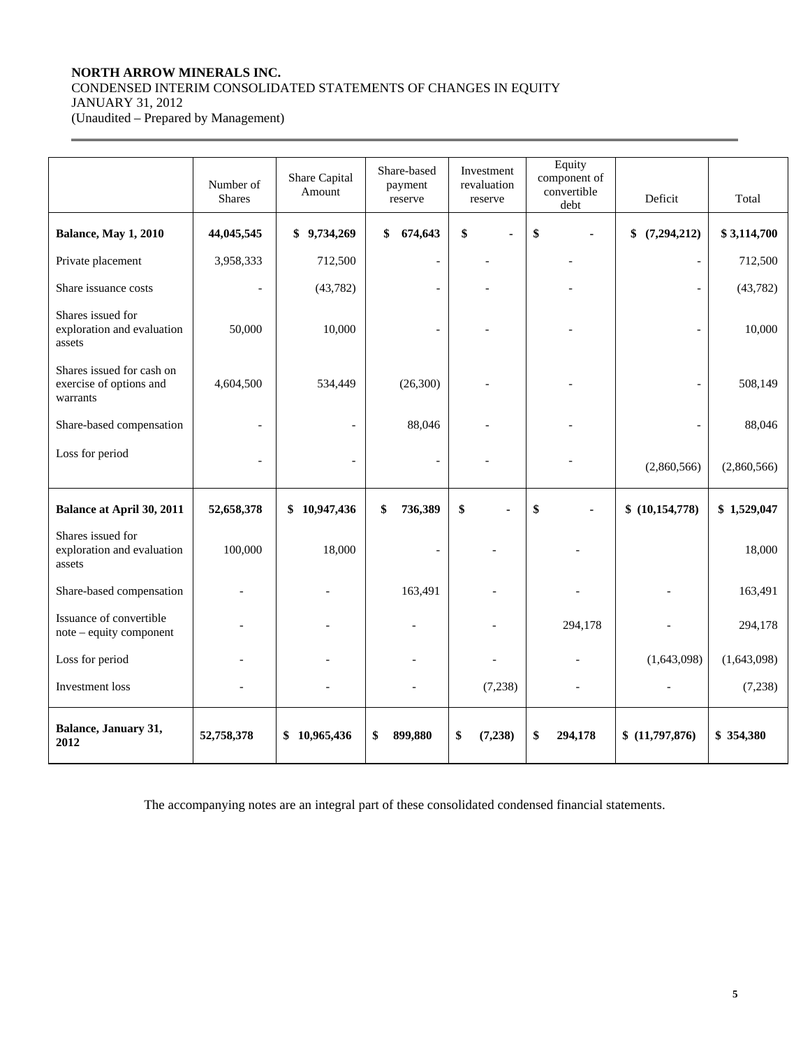## **NORTH ARROW MINERALS INC.**  CONDENSED INTERIM CONSOLIDATED STATEMENTS OF CHANGES IN EQUITY JANUARY 31, 2012

(Unaudited – Prepared by Management)

 $\overline{a}$ 

|                                                                  | Number of<br><b>Shares</b> | Share Capital<br>Amount | Share-based<br>payment<br>reserve | Investment<br>revaluation<br>reserve | Equity<br>component of<br>convertible<br>debt | Deficit           | Total       |
|------------------------------------------------------------------|----------------------------|-------------------------|-----------------------------------|--------------------------------------|-----------------------------------------------|-------------------|-------------|
| <b>Balance, May 1, 2010</b>                                      | 44,045,545                 | \$9,734,269             | 674,643<br>\$                     | \$<br>ä,                             | \$                                            | (7,294,212)<br>\$ | \$3,114,700 |
| Private placement                                                | 3,958,333                  | 712,500                 | $\overline{a}$                    |                                      |                                               |                   | 712,500     |
| Share issuance costs                                             |                            | (43, 782)               |                                   |                                      |                                               |                   | (43,782)    |
| Shares issued for<br>exploration and evaluation<br>assets        | 50,000                     | 10,000                  |                                   |                                      |                                               |                   | 10,000      |
| Shares issued for cash on<br>exercise of options and<br>warrants | 4,604,500                  | 534,449                 | (26,300)                          |                                      |                                               |                   | 508,149     |
| Share-based compensation                                         |                            |                         | 88,046                            |                                      |                                               |                   | 88,046      |
| Loss for period                                                  |                            |                         | $\overline{a}$                    |                                      |                                               | (2,860,566)       | (2,860,566) |
| <b>Balance at April 30, 2011</b>                                 | 52,658,378                 | \$10,947,436            | 736,389<br>\$                     | \$                                   | \$                                            | \$(10,154,778)    | \$1,529,047 |
| Shares issued for<br>exploration and evaluation<br>assets        | 100,000                    | 18,000                  |                                   |                                      |                                               |                   | 18,000      |
| Share-based compensation                                         |                            |                         | 163,491                           |                                      |                                               |                   | 163,491     |
| Issuance of convertible<br>note - equity component               |                            |                         |                                   |                                      | 294,178                                       |                   | 294,178     |
| Loss for period                                                  |                            |                         |                                   |                                      |                                               | (1,643,098)       | (1,643,098) |
| Investment loss                                                  |                            |                         |                                   | (7,238)                              |                                               |                   | (7,238)     |
| Balance, January 31,<br>2012                                     | 52,758,378                 | \$10,965,436            | 899,880<br>\$                     | \$<br>(7, 238)                       | \$<br>294,178                                 | \$(11,797,876)    | \$354,380   |

The accompanying notes are an integral part of these consolidated condensed financial statements.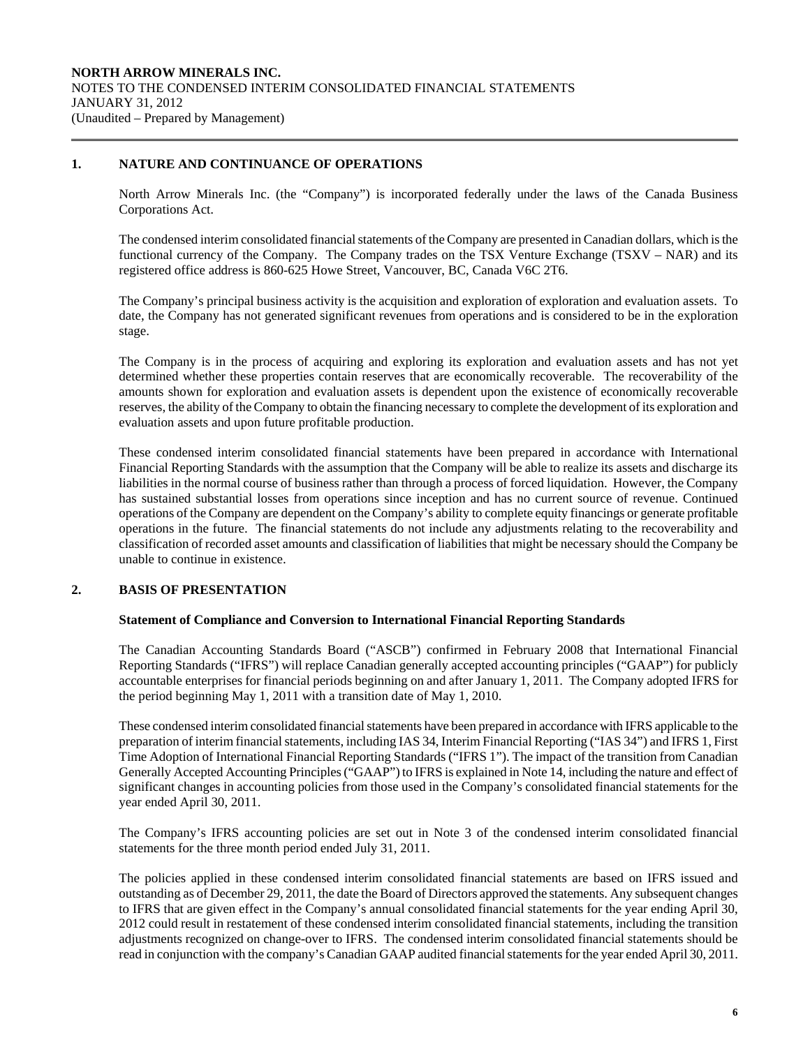### **1. NATURE AND CONTINUANCE OF OPERATIONS**

 $\overline{a}$ 

North Arrow Minerals Inc. (the "Company") is incorporated federally under the laws of the Canada Business Corporations Act.

The condensed interim consolidated financial statements of the Company are presented in Canadian dollars, which is the functional currency of the Company. The Company trades on the TSX Venture Exchange (TSXV – NAR) and its registered office address is 860-625 Howe Street, Vancouver, BC, Canada V6C 2T6.

 The Company's principal business activity is the acquisition and exploration of exploration and evaluation assets. To date, the Company has not generated significant revenues from operations and is considered to be in the exploration stage.

 The Company is in the process of acquiring and exploring its exploration and evaluation assets and has not yet determined whether these properties contain reserves that are economically recoverable. The recoverability of the amounts shown for exploration and evaluation assets is dependent upon the existence of economically recoverable reserves, the ability of the Company to obtain the financing necessary to complete the development of its exploration and evaluation assets and upon future profitable production.

These condensed interim consolidated financial statements have been prepared in accordance with International Financial Reporting Standards with the assumption that the Company will be able to realize its assets and discharge its liabilities in the normal course of business rather than through a process of forced liquidation. However, the Company has sustained substantial losses from operations since inception and has no current source of revenue. Continued operations of the Company are dependent on the Company's ability to complete equity financings or generate profitable operations in the future. The financial statements do not include any adjustments relating to the recoverability and classification of recorded asset amounts and classification of liabilities that might be necessary should the Company be unable to continue in existence.

## **2. BASIS OF PRESENTATION**

#### **Statement of Compliance and Conversion to International Financial Reporting Standards**

 The Canadian Accounting Standards Board ("ASCB") confirmed in February 2008 that International Financial Reporting Standards ("IFRS") will replace Canadian generally accepted accounting principles ("GAAP") for publicly accountable enterprises for financial periods beginning on and after January 1, 2011. The Company adopted IFRS for the period beginning May 1, 2011 with a transition date of May 1, 2010.

 These condensed interim consolidated financial statements have been prepared in accordance with IFRS applicable to the preparation of interim financial statements, including IAS 34, Interim Financial Reporting ("IAS 34") and IFRS 1, First Time Adoption of International Financial Reporting Standards ("IFRS 1"). The impact of the transition from Canadian Generally Accepted Accounting Principles ("GAAP") to IFRS is explained in Note 14, including the nature and effect of significant changes in accounting policies from those used in the Company's consolidated financial statements for the year ended April 30, 2011.

 The Company's IFRS accounting policies are set out in Note 3 of the condensed interim consolidated financial statements for the three month period ended July 31, 2011.

 The policies applied in these condensed interim consolidated financial statements are based on IFRS issued and outstanding as of December 29, 2011, the date the Board of Directors approved the statements. Any subsequent changes to IFRS that are given effect in the Company's annual consolidated financial statements for the year ending April 30, 2012 could result in restatement of these condensed interim consolidated financial statements, including the transition adjustments recognized on change-over to IFRS. The condensed interim consolidated financial statements should be read in conjunction with the company's Canadian GAAP audited financial statements for the year ended April 30, 2011.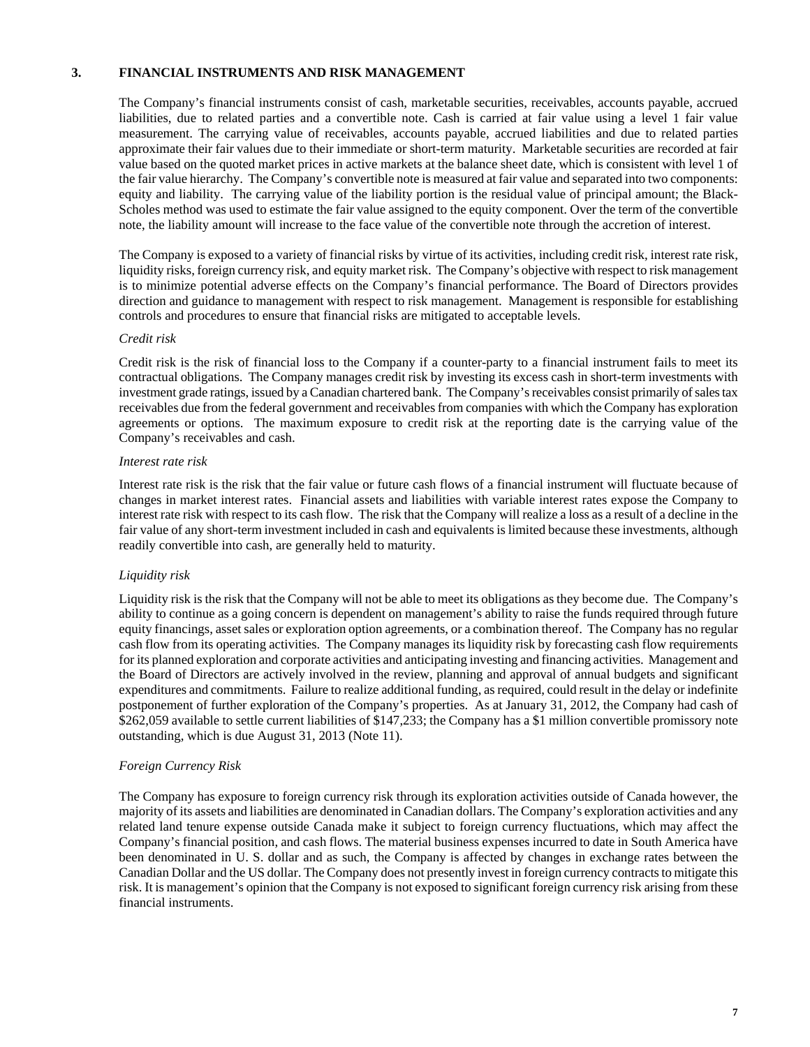## **3. FINANCIAL INSTRUMENTS AND RISK MANAGEMENT**

The Company's financial instruments consist of cash, marketable securities, receivables, accounts payable, accrued liabilities, due to related parties and a convertible note. Cash is carried at fair value using a level 1 fair value measurement. The carrying value of receivables, accounts payable, accrued liabilities and due to related parties approximate their fair values due to their immediate or short-term maturity. Marketable securities are recorded at fair value based on the quoted market prices in active markets at the balance sheet date, which is consistent with level 1 of the fair value hierarchy. The Company's convertible note is measured at fair value and separated into two components: equity and liability. The carrying value of the liability portion is the residual value of principal amount; the Black-Scholes method was used to estimate the fair value assigned to the equity component. Over the term of the convertible note, the liability amount will increase to the face value of the convertible note through the accretion of interest.

The Company is exposed to a variety of financial risks by virtue of its activities, including credit risk, interest rate risk, liquidity risks, foreign currency risk, and equity market risk. The Company's objective with respect to risk management is to minimize potential adverse effects on the Company's financial performance. The Board of Directors provides direction and guidance to management with respect to risk management. Management is responsible for establishing controls and procedures to ensure that financial risks are mitigated to acceptable levels.

#### *Credit risk*

Credit risk is the risk of financial loss to the Company if a counter-party to a financial instrument fails to meet its contractual obligations. The Company manages credit risk by investing its excess cash in short-term investments with investment grade ratings, issued by a Canadian chartered bank. The Company's receivables consist primarily of sales tax receivables due from the federal government and receivables from companies with which the Company has exploration agreements or options. The maximum exposure to credit risk at the reporting date is the carrying value of the Company's receivables and cash.

#### *Interest rate risk*

Interest rate risk is the risk that the fair value or future cash flows of a financial instrument will fluctuate because of changes in market interest rates. Financial assets and liabilities with variable interest rates expose the Company to interest rate risk with respect to its cash flow. The risk that the Company will realize a loss as a result of a decline in the fair value of any short-term investment included in cash and equivalents is limited because these investments, although readily convertible into cash, are generally held to maturity.

## *Liquidity risk*

Liquidity risk is the risk that the Company will not be able to meet its obligations as they become due. The Company's ability to continue as a going concern is dependent on management's ability to raise the funds required through future equity financings, asset sales or exploration option agreements, or a combination thereof. The Company has no regular cash flow from its operating activities. The Company manages its liquidity risk by forecasting cash flow requirements for its planned exploration and corporate activities and anticipating investing and financing activities. Management and the Board of Directors are actively involved in the review, planning and approval of annual budgets and significant expenditures and commitments. Failure to realize additional funding, as required, could result in the delay or indefinite postponement of further exploration of the Company's properties. As at January 31, 2012, the Company had cash of \$262,059 available to settle current liabilities of \$147,233; the Company has a \$1 million convertible promissory note outstanding, which is due August 31, 2013 (Note 11).

## *Foreign Currency Risk*

The Company has exposure to foreign currency risk through its exploration activities outside of Canada however, the majority of its assets and liabilities are denominated in Canadian dollars. The Company's exploration activities and any related land tenure expense outside Canada make it subject to foreign currency fluctuations, which may affect the Company's financial position, and cash flows. The material business expenses incurred to date in South America have been denominated in U. S. dollar and as such, the Company is affected by changes in exchange rates between the Canadian Dollar and the US dollar. The Company does not presently invest in foreign currency contracts to mitigate this risk. It is management's opinion that the Company is not exposed to significant foreign currency risk arising from these financial instruments.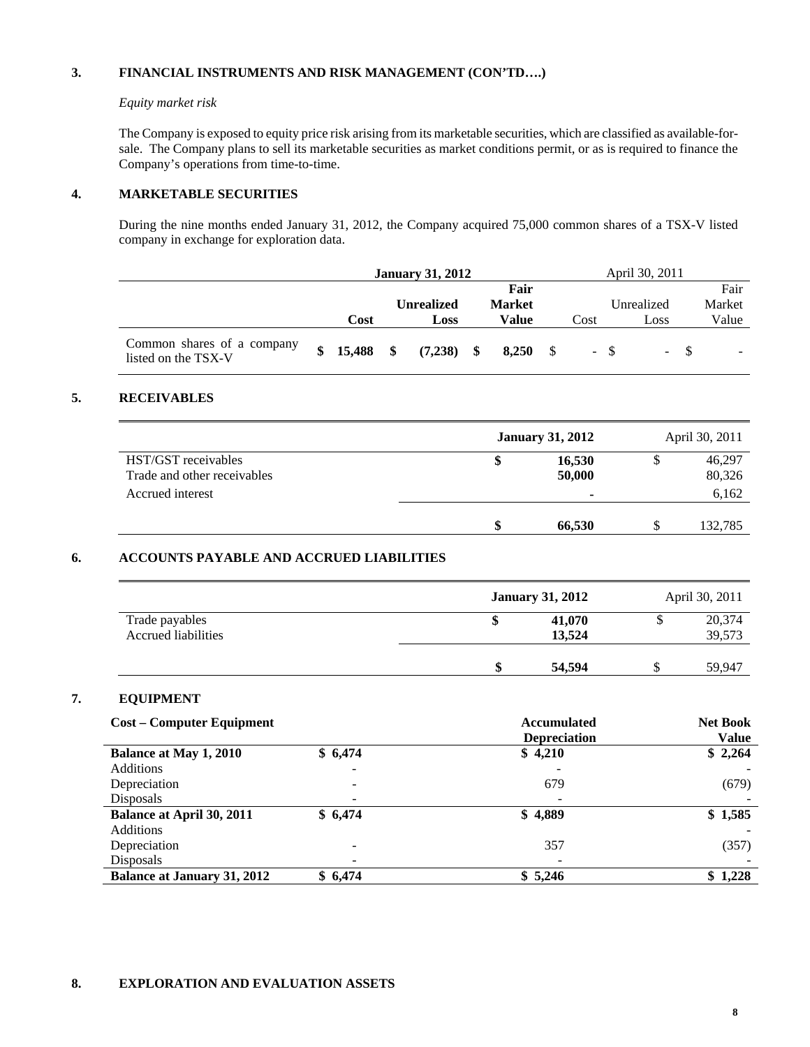## **3. FINANCIAL INSTRUMENTS AND RISK MANAGEMENT (CON'TD….)**

#### *Equity market risk*

 The Company is exposed to equity price risk arising from its marketable securities, which are classified as available-forsale. The Company plans to sell its marketable securities as market conditions permit, or as is required to finance the Company's operations from time-to-time.

## **4. MARKETABLE SECURITIES**

During the nine months ended January 31, 2012, the Company acquired 75,000 common shares of a TSX-V listed company in exchange for exploration data.

|                                                   | <b>January 31, 2012</b> |                 |  |                   |               |      | April 30, 2011 |            |        |
|---------------------------------------------------|-------------------------|-----------------|--|-------------------|---------------|------|----------------|------------|--------|
|                                                   |                         |                 |  |                   | Fair          |      |                |            | Fair   |
|                                                   |                         |                 |  | <b>Unrealized</b> | <b>Market</b> |      |                | Unrealized | Market |
|                                                   |                         | Cost            |  | Loss              | Value         | Cost |                | Loss       | Value  |
| Common shares of a company<br>listed on the TSX-V |                         | $$15,488$ \, \$ |  | $(7,238)$ \$      | $8,250$ \$    |      | $- S$          | $-$ S      |        |

## **5. RECEIVABLES**

|                          |                                   | April 30, 2011 |
|--------------------------|-----------------------------------|----------------|
| 16,530                   | S                                 | 46,297         |
| 50,000                   |                                   | 80,326         |
| $\overline{\phantom{0}}$ |                                   | 6,162          |
|                          |                                   | 132,785        |
|                          | <b>January 31, 2012</b><br>66,530 |                |

## **6. ACCOUNTS PAYABLE AND ACCRUED LIABILITIES**

|                                       | <b>January 31, 2012</b> |   | April 30, 2011   |
|---------------------------------------|-------------------------|---|------------------|
| Trade payables<br>Accrued liabilities | \$<br>41,070<br>13.524  | S | 20,374<br>39,573 |
|                                       | \$<br>54,594            | ◡ | 59.947           |

## **7. EQUIPMENT**

| <b>Cost – Computer Equipment</b>   |         | <b>Accumulated</b><br><b>Depreciation</b> | <b>Net Book</b><br><b>Value</b> |
|------------------------------------|---------|-------------------------------------------|---------------------------------|
| Balance at May 1, 2010             | \$6,474 | \$4,210                                   | \$2,264                         |
| Additions                          |         | -                                         |                                 |
| Depreciation                       |         | 679                                       | (679)                           |
| Disposals                          |         | $\overline{\phantom{a}}$                  |                                 |
| <b>Balance at April 30, 2011</b>   | \$6,474 | \$4,889                                   | \$1,585                         |
| Additions                          |         |                                           |                                 |
| Depreciation                       |         | 357                                       | (357)                           |
| Disposals                          |         | $\qquad \qquad \blacksquare$              |                                 |
| <b>Balance at January 31, 2012</b> | \$6,474 | \$5,246                                   | \$1,228                         |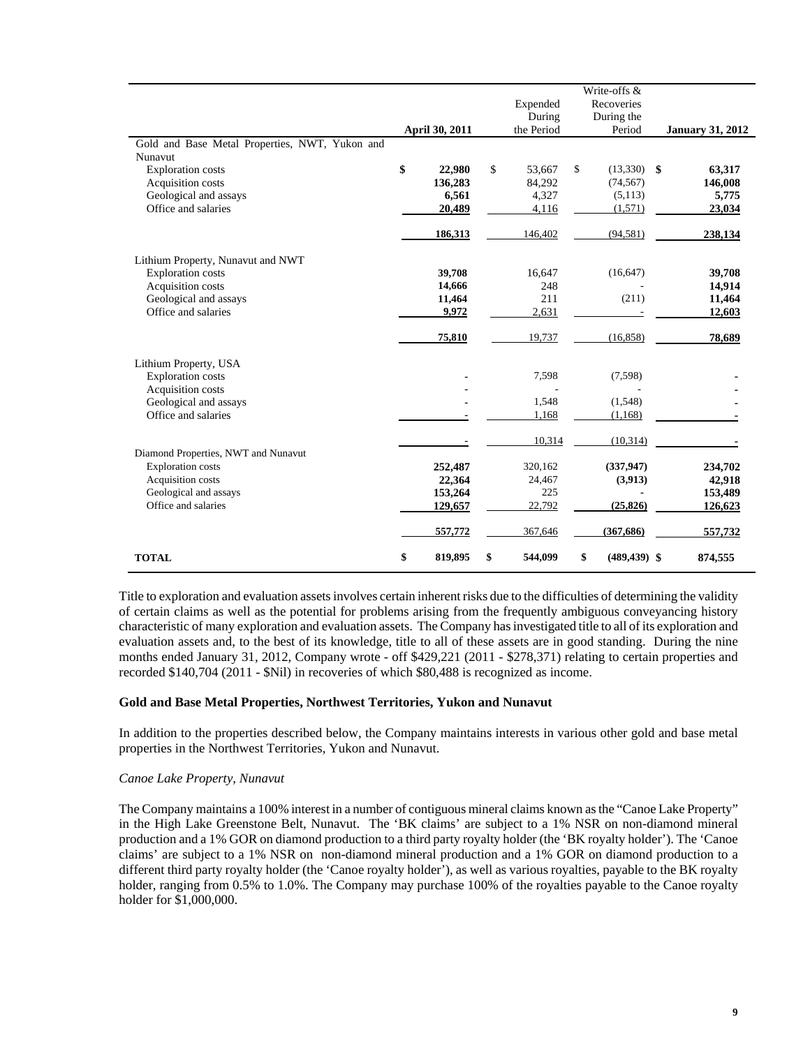|                                                |                |               | Write-offs &          |                         |
|------------------------------------------------|----------------|---------------|-----------------------|-------------------------|
|                                                |                | Expended      | Recoveries            |                         |
|                                                |                | During        | During the            |                         |
|                                                | April 30, 2011 | the Period    | Period                | <b>January 31, 2012</b> |
| Gold and Base Metal Properties, NWT, Yukon and |                |               |                       |                         |
| <b>Nunavut</b>                                 |                |               |                       |                         |
| <b>Exploration</b> costs                       | \$<br>22,980   | \$<br>53,667  | \$<br>$(13,330)$ \$   | 63,317                  |
| Acquisition costs                              | 136,283        | 84,292        | (74, 567)             | 146,008                 |
| Geological and assays                          | 6,561          | 4,327         | (5, 113)              | 5,775                   |
| Office and salaries                            | 20,489         | 4,116         | (1,571)               | 23,034                  |
|                                                | 186,313        | 146,402       | (94, 581)             | 238,134                 |
| Lithium Property, Nunavut and NWT              |                |               |                       |                         |
| <b>Exploration costs</b>                       | 39,708         | 16,647        | (16, 647)             | 39,708                  |
| Acquisition costs                              | 14,666         | 248           |                       | 14,914                  |
| Geological and assays                          | 11,464         | 211           | (211)                 | 11,464                  |
| Office and salaries                            | 9,972          | 2,631         |                       | 12,603                  |
|                                                | 75,810         | 19,737        | (16, 858)             | 78,689                  |
| Lithium Property, USA                          |                |               |                       |                         |
| <b>Exploration</b> costs                       |                | 7,598         | (7,598)               |                         |
| Acquisition costs                              |                |               |                       |                         |
| Geological and assays                          |                | 1,548         | (1,548)               |                         |
| Office and salaries                            |                | 1,168         | (1, 168)              |                         |
|                                                |                | 10,314        | (10, 314)             |                         |
| Diamond Properties, NWT and Nunavut            |                |               |                       |                         |
| <b>Exploration</b> costs                       | 252,487        | 320,162       | (337, 947)            | 234,702                 |
| Acquisition costs                              | 22,364         | 24,467        | (3,913)               | 42,918                  |
| Geological and assays                          | 153,264        | 225           |                       | 153,489                 |
| Office and salaries                            | 129,657        | 22,792        | (25, 826)             | 126,623                 |
|                                                | 557,772        | 367,646       | (367, 686)            | 557,732                 |
| <b>TOTAL</b>                                   | \$<br>819,895  | \$<br>544,099 | \$<br>$(489, 439)$ \$ | 874,555                 |

 Title to exploration and evaluation assets involves certain inherent risks due to the difficulties of determining the validity of certain claims as well as the potential for problems arising from the frequently ambiguous conveyancing history characteristic of many exploration and evaluation assets. The Company has investigated title to all of its exploration and evaluation assets and, to the best of its knowledge, title to all of these assets are in good standing. During the nine months ended January 31, 2012, Company wrote - off \$429,221 (2011 - \$278,371) relating to certain properties and recorded \$140,704 (2011 - \$Nil) in recoveries of which \$80,488 is recognized as income.

#### **Gold and Base Metal Properties, Northwest Territories, Yukon and Nunavut**

In addition to the properties described below, the Company maintains interests in various other gold and base metal properties in the Northwest Territories, Yukon and Nunavut.

#### *Canoe Lake Property, Nunavut*

The Company maintains a 100% interest in a number of contiguous mineral claims known as the "Canoe Lake Property" in the High Lake Greenstone Belt, Nunavut. The 'BK claims' are subject to a 1% NSR on non-diamond mineral production and a 1% GOR on diamond production to a third party royalty holder (the 'BK royalty holder'). The 'Canoe claims' are subject to a 1% NSR on non-diamond mineral production and a 1% GOR on diamond production to a different third party royalty holder (the 'Canoe royalty holder'), as well as various royalties, payable to the BK royalty holder, ranging from 0.5% to 1.0%. The Company may purchase 100% of the royalties payable to the Canoe royalty holder for \$1,000,000.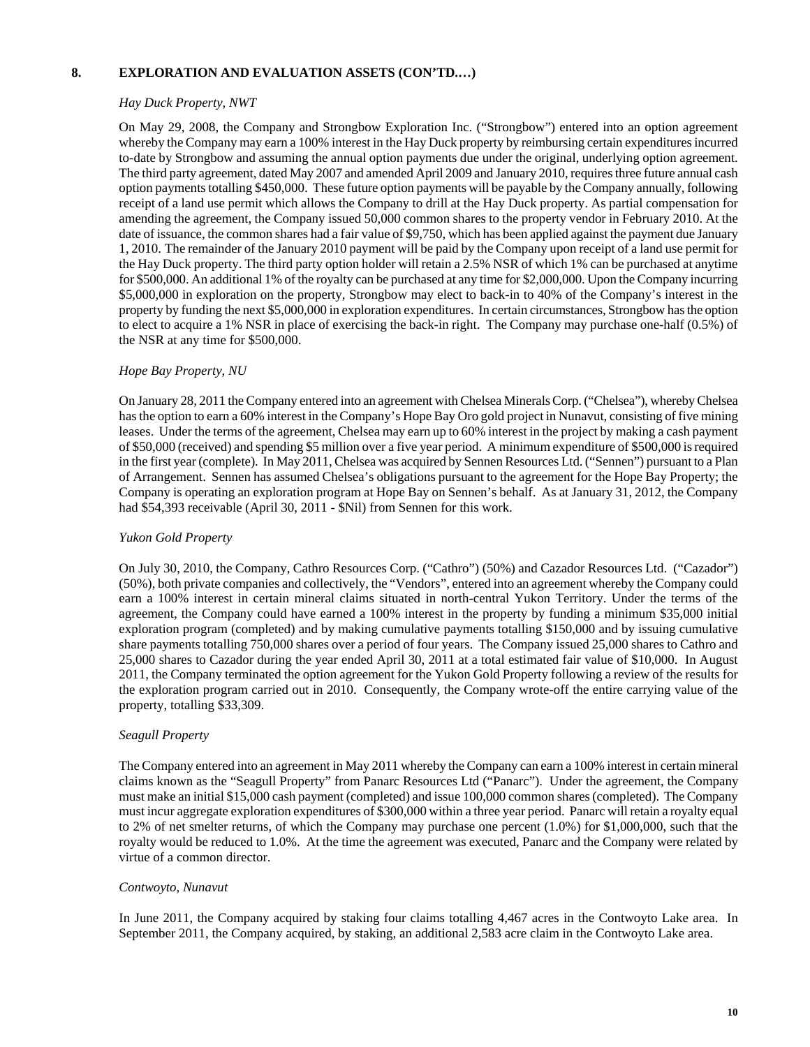## **8. EXPLORATION AND EVALUATION ASSETS (CON'TD.…)**

## *Hay Duck Property, NWT*

On May 29, 2008, the Company and Strongbow Exploration Inc. ("Strongbow") entered into an option agreement whereby the Company may earn a 100% interest in the Hay Duck property by reimbursing certain expenditures incurred to-date by Strongbow and assuming the annual option payments due under the original, underlying option agreement. The third party agreement, dated May 2007 and amended April 2009 and January 2010, requires three future annual cash option payments totalling \$450,000. These future option payments will be payable by the Company annually, following receipt of a land use permit which allows the Company to drill at the Hay Duck property. As partial compensation for amending the agreement, the Company issued 50,000 common shares to the property vendor in February 2010. At the date of issuance, the common shares had a fair value of \$9,750, which has been applied against the payment due January 1, 2010. The remainder of the January 2010 payment will be paid by the Company upon receipt of a land use permit for the Hay Duck property. The third party option holder will retain a 2.5% NSR of which 1% can be purchased at anytime for \$500,000. An additional 1% of the royalty can be purchased at any time for \$2,000,000. Upon the Company incurring \$5,000,000 in exploration on the property, Strongbow may elect to back-in to 40% of the Company's interest in the property by funding the next \$5,000,000 in exploration expenditures. In certain circumstances, Strongbow has the option to elect to acquire a 1% NSR in place of exercising the back-in right. The Company may purchase one-half (0.5%) of the NSR at any time for \$500,000.

## *Hope Bay Property, NU*

On January 28, 2011 the Company entered into an agreement with Chelsea Minerals Corp. ("Chelsea"), whereby Chelsea has the option to earn a 60% interest in the Company's Hope Bay Oro gold project in Nunavut, consisting of five mining leases. Under the terms of the agreement, Chelsea may earn up to 60% interest in the project by making a cash payment of \$50,000 (received) and spending \$5 million over a five year period. A minimum expenditure of \$500,000 is required in the first year (complete). In May 2011, Chelsea was acquired by Sennen Resources Ltd. ("Sennen") pursuant to a Plan of Arrangement. Sennen has assumed Chelsea's obligations pursuant to the agreement for the Hope Bay Property; the Company is operating an exploration program at Hope Bay on Sennen's behalf. As at January 31, 2012, the Company had \$54,393 receivable (April 30, 2011 - \$Nil) from Sennen for this work.

## *Yukon Gold Property*

On July 30, 2010, the Company, Cathro Resources Corp. ("Cathro") (50%) and Cazador Resources Ltd. ("Cazador") (50%), both private companies and collectively, the "Vendors", entered into an agreement whereby the Company could earn a 100% interest in certain mineral claims situated in north-central Yukon Territory. Under the terms of the agreement, the Company could have earned a 100% interest in the property by funding a minimum \$35,000 initial exploration program (completed) and by making cumulative payments totalling \$150,000 and by issuing cumulative share payments totalling 750,000 shares over a period of four years. The Company issued 25,000 shares to Cathro and 25,000 shares to Cazador during the year ended April 30, 2011 at a total estimated fair value of \$10,000. In August 2011, the Company terminated the option agreement for the Yukon Gold Property following a review of the results for the exploration program carried out in 2010. Consequently, the Company wrote-off the entire carrying value of the property, totalling \$33,309.

## *Seagull Property*

The Company entered into an agreement in May 2011 whereby the Company can earn a 100% interest in certain mineral claims known as the "Seagull Property" from Panarc Resources Ltd ("Panarc"). Under the agreement, the Company must make an initial \$15,000 cash payment (completed) and issue 100,000 common shares (completed). The Company must incur aggregate exploration expenditures of \$300,000 within a three year period. Panarc will retain a royalty equal to 2% of net smelter returns, of which the Company may purchase one percent (1.0%) for \$1,000,000, such that the royalty would be reduced to 1.0%. At the time the agreement was executed, Panarc and the Company were related by virtue of a common director.

## *Contwoyto, Nunavut*

In June 2011, the Company acquired by staking four claims totalling 4,467 acres in the Contwoyto Lake area. In September 2011, the Company acquired, by staking, an additional 2,583 acre claim in the Contwoyto Lake area.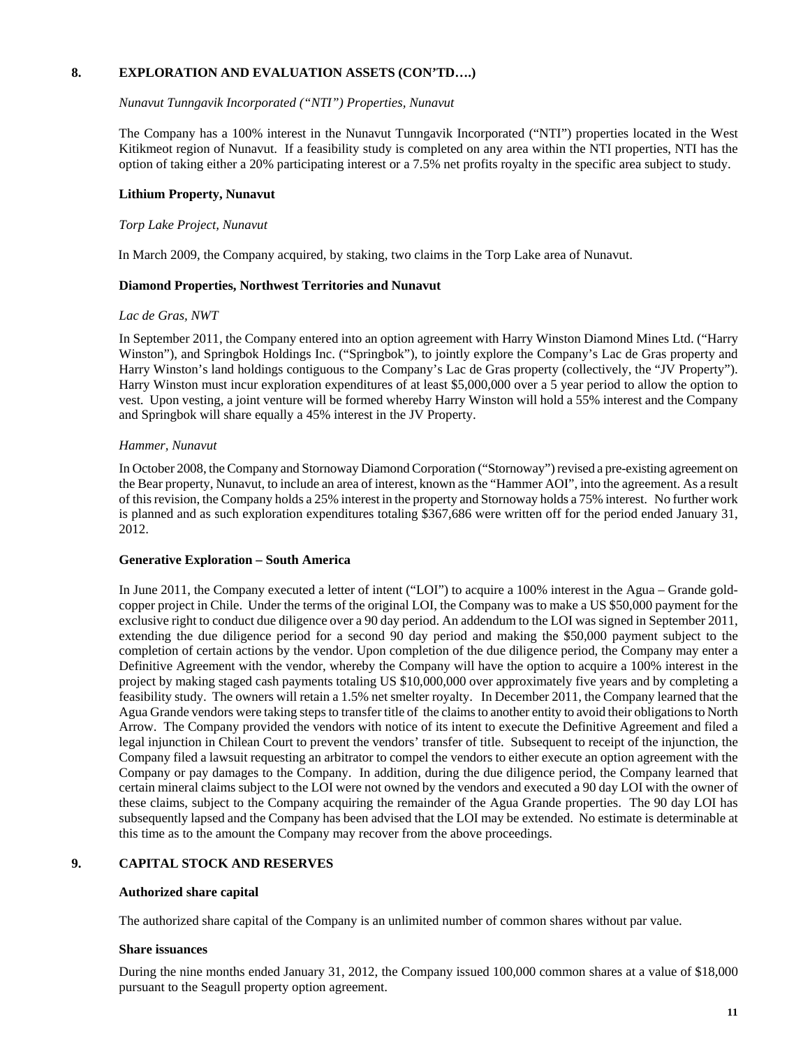## **8. EXPLORATION AND EVALUATION ASSETS (CON'TD….)**

#### *Nunavut Tunngavik Incorporated ("NTI") Properties, Nunavut*

The Company has a 100% interest in the Nunavut Tunngavik Incorporated ("NTI") properties located in the West Kitikmeot region of Nunavut. If a feasibility study is completed on any area within the NTI properties, NTI has the option of taking either a 20% participating interest or a 7.5% net profits royalty in the specific area subject to study.

#### **Lithium Property, Nunavut**

#### *Torp Lake Project, Nunavut*

In March 2009, the Company acquired, by staking, two claims in the Torp Lake area of Nunavut.

#### **Diamond Properties, Northwest Territories and Nunavut**

#### *Lac de Gras, NWT*

In September 2011, the Company entered into an option agreement with Harry Winston Diamond Mines Ltd. ("Harry Winston"), and Springbok Holdings Inc. ("Springbok"), to jointly explore the Company's Lac de Gras property and Harry Winston's land holdings contiguous to the Company's Lac de Gras property (collectively, the "JV Property"). Harry Winston must incur exploration expenditures of at least \$5,000,000 over a 5 year period to allow the option to vest. Upon vesting, a joint venture will be formed whereby Harry Winston will hold a 55% interest and the Company and Springbok will share equally a 45% interest in the JV Property.

#### *Hammer, Nunavut*

In October 2008, the Company and Stornoway Diamond Corporation ("Stornoway") revised a pre-existing agreement on the Bear property, Nunavut, to include an area of interest, known as the "Hammer AOI", into the agreement. As a result of this revision, the Company holds a 25% interest in the property and Stornoway holds a 75% interest. No further work is planned and as such exploration expenditures totaling \$367,686 were written off for the period ended January 31, 2012.

## **Generative Exploration – South America**

In June 2011, the Company executed a letter of intent ("LOI") to acquire a 100% interest in the Agua – Grande goldcopper project in Chile. Under the terms of the original LOI, the Company was to make a US \$50,000 payment for the exclusive right to conduct due diligence over a 90 day period. An addendum to the LOI was signed in September 2011, extending the due diligence period for a second 90 day period and making the \$50,000 payment subject to the completion of certain actions by the vendor. Upon completion of the due diligence period, the Company may enter a Definitive Agreement with the vendor, whereby the Company will have the option to acquire a 100% interest in the project by making staged cash payments totaling US \$10,000,000 over approximately five years and by completing a feasibility study. The owners will retain a 1.5% net smelter royalty. In December 2011, the Company learned that the Agua Grande vendors were taking steps to transfer title of the claims to another entity to avoid their obligations to North Arrow. The Company provided the vendors with notice of its intent to execute the Definitive Agreement and filed a legal injunction in Chilean Court to prevent the vendors' transfer of title. Subsequent to receipt of the injunction, the Company filed a lawsuit requesting an arbitrator to compel the vendors to either execute an option agreement with the Company or pay damages to the Company. In addition, during the due diligence period, the Company learned that certain mineral claims subject to the LOI were not owned by the vendors and executed a 90 day LOI with the owner of these claims, subject to the Company acquiring the remainder of the Agua Grande properties. The 90 day LOI has subsequently lapsed and the Company has been advised that the LOI may be extended. No estimate is determinable at this time as to the amount the Company may recover from the above proceedings.

## **9. CAPITAL STOCK AND RESERVES**

#### **Authorized share capital**

The authorized share capital of the Company is an unlimited number of common shares without par value.

#### **Share issuances**

During the nine months ended January 31, 2012, the Company issued 100,000 common shares at a value of \$18,000 pursuant to the Seagull property option agreement.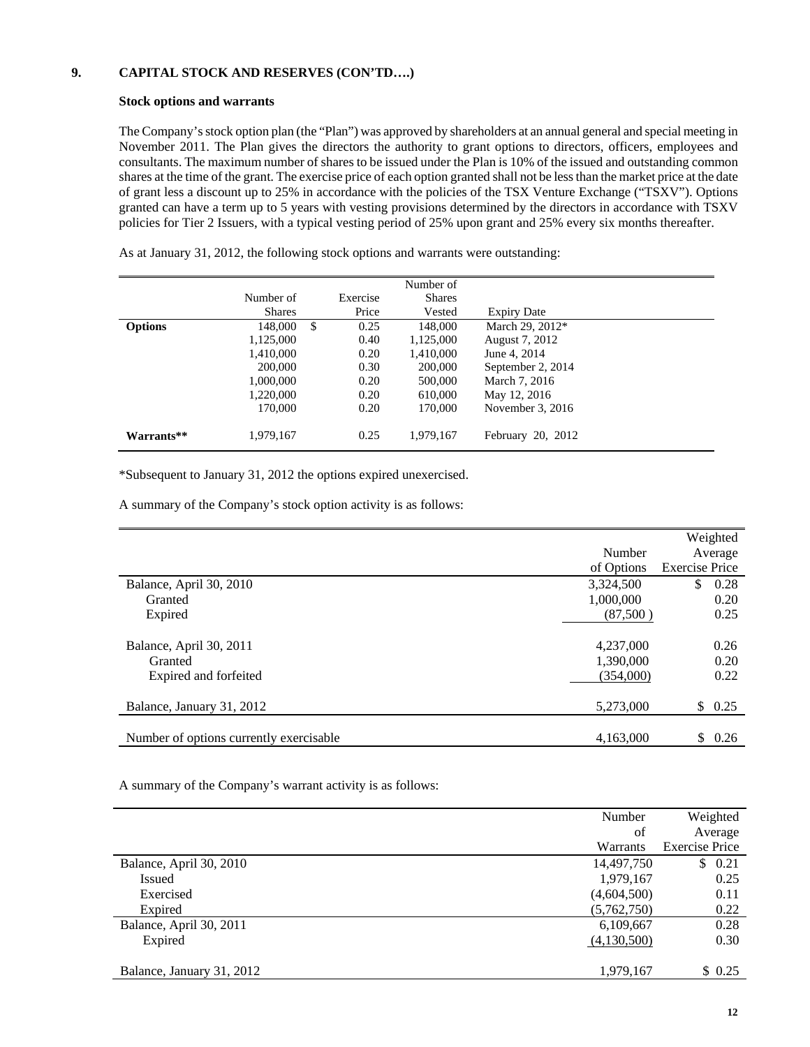## **9. CAPITAL STOCK AND RESERVES (CON'TD….)**

#### **Stock options and warrants**

The Company's stock option plan (the "Plan") was approved by shareholders at an annual general and special meeting in November 2011. The Plan gives the directors the authority to grant options to directors, officers, employees and consultants. The maximum number of shares to be issued under the Plan is 10% of the issued and outstanding common shares at the time of the grant. The exercise price of each option granted shall not be less than the market price at the date of grant less a discount up to 25% in accordance with the policies of the TSX Venture Exchange ("TSXV"). Options granted can have a term up to 5 years with vesting provisions determined by the directors in accordance with TSXV policies for Tier 2 Issuers, with a typical vesting period of 25% upon grant and 25% every six months thereafter.

|                |               |               |          | Number of     |                    |
|----------------|---------------|---------------|----------|---------------|--------------------|
|                | Number of     |               | Exercise | <b>Shares</b> |                    |
|                | <b>Shares</b> |               | Price    | Vested        | <b>Expiry Date</b> |
| <b>Options</b> | 148,000       | <sup>\$</sup> | 0.25     | 148,000       | March 29, 2012*    |
|                | 1,125,000     |               | 0.40     | 1,125,000     | August 7, 2012     |
|                | 1,410,000     |               | 0.20     | 1,410,000     | June 4, 2014       |
|                | 200,000       |               | 0.30     | 200,000       | September 2, 2014  |
|                | 1,000,000     |               | 0.20     | 500,000       | March 7, 2016      |
|                | 1,220,000     |               | 0.20     | 610,000       | May 12, 2016       |
|                | 170,000       |               | 0.20     | 170,000       | November $3, 2016$ |
| Warrants**     | 1,979,167     |               | 0.25     | 1.979.167     | February 20, 2012  |

As at January 31, 2012, the following stock options and warrants were outstanding:

\*Subsequent to January 31, 2012 the options expired unexercised.

A summary of the Company's stock option activity is as follows:

|                                         |            | Weighted              |
|-----------------------------------------|------------|-----------------------|
|                                         | Number     | Average               |
|                                         | of Options | <b>Exercise Price</b> |
| Balance, April 30, 2010                 | 3,324,500  | \$<br>0.28            |
| Granted                                 | 1,000,000  | 0.20                  |
| Expired                                 | (87,500)   | 0.25                  |
|                                         |            |                       |
| Balance, April 30, 2011                 | 4,237,000  | 0.26                  |
| Granted                                 | 1,390,000  | 0.20                  |
| Expired and forfeited                   | (354,000)  | 0.22                  |
|                                         |            |                       |
| Balance, January 31, 2012               | 5,273,000  | \$<br>0.25            |
|                                         |            |                       |
| Number of options currently exercisable | 4,163,000  | \$0.26                |
|                                         |            |                       |

A summary of the Company's warrant activity is as follows:

|                           | Number      |                       |
|---------------------------|-------------|-----------------------|
|                           |             | Weighted              |
|                           | of          | Average               |
|                           | Warrants    | <b>Exercise Price</b> |
| Balance, April 30, 2010   | 14,497,750  | \$0.21                |
| Issued                    | 1,979,167   | 0.25                  |
| Exercised                 | (4,604,500) | 0.11                  |
| Expired                   | (5,762,750) | 0.22                  |
| Balance, April 30, 2011   | 6,109,667   | 0.28                  |
| Expired                   | (4,130,500) | 0.30                  |
|                           |             |                       |
| Balance, January 31, 2012 | 1,979,167   | \$0.25                |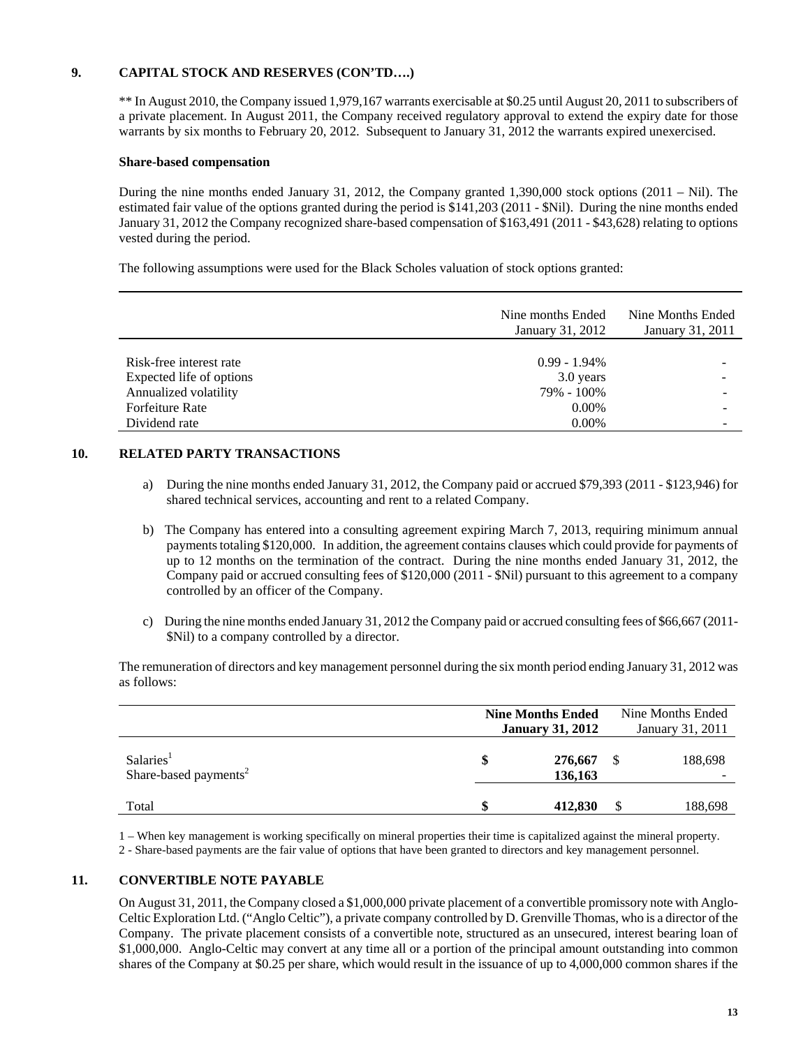## **9. CAPITAL STOCK AND RESERVES (CON'TD….)**

 \*\* In August 2010, the Company issued 1,979,167 warrants exercisable at \$0.25 until August 20, 2011 to subscribers of a private placement. In August 2011, the Company received regulatory approval to extend the expiry date for those warrants by six months to February 20, 2012. Subsequent to January 31, 2012 the warrants expired unexercised.

### **Share-based compensation**

 During the nine months ended January 31, 2012, the Company granted 1,390,000 stock options (2011 – Nil). The estimated fair value of the options granted during the period is \$141,203 (2011 - \$Nil). During the nine months ended January 31, 2012 the Company recognized share-based compensation of \$163,491 (2011 - \$43,628) relating to options vested during the period.

The following assumptions were used for the Black Scholes valuation of stock options granted:

|                          | Nine months Ended<br>January 31, 2012 | Nine Months Ended<br>January 31, 2011 |
|--------------------------|---------------------------------------|---------------------------------------|
|                          |                                       |                                       |
| Risk-free interest rate  | $0.99 - 1.94\%$                       | -                                     |
| Expected life of options | 3.0 years                             |                                       |
| Annualized volatility    | 79% - 100%                            |                                       |
| <b>Forfeiture Rate</b>   | $0.00\%$                              |                                       |
| Dividend rate            | $0.00\%$                              | -                                     |

## **10. RELATED PARTY TRANSACTIONS**

- a) During the nine months ended January 31, 2012, the Company paid or accrued \$79,393 (2011 \$123,946) for shared technical services, accounting and rent to a related Company.
- b) The Company has entered into a consulting agreement expiring March 7, 2013, requiring minimum annual payments totaling \$120,000. In addition, the agreement contains clauses which could provide for payments of up to 12 months on the termination of the contract. During the nine months ended January 31, 2012, the Company paid or accrued consulting fees of \$120,000 (2011 - \$Nil) pursuant to this agreement to a company controlled by an officer of the Company.
- c) During the nine months ended January 31, 2012 the Company paid or accrued consulting fees of \$66,667 (2011- \$Nil) to a company controlled by a director.

 The remuneration of directors and key management personnel during the six month period ending January 31, 2012 was as follows:

|                                                            | <b>Nine Months Ended</b><br><b>January 31, 2012</b> | Nine Months Ended<br>January 31, 2011 |   |              |  |
|------------------------------------------------------------|-----------------------------------------------------|---------------------------------------|---|--------------|--|
| Salaries <sup>1</sup><br>Share-based payments <sup>2</sup> | \$                                                  | 276,667<br>136,163                    | S | 188,698<br>- |  |
| Total                                                      | \$                                                  | 412,830                               |   | 188,698      |  |

1 – When key management is working specifically on mineral properties their time is capitalized against the mineral property. 2 - Share-based payments are the fair value of options that have been granted to directors and key management personnel.

## **11. CONVERTIBLE NOTE PAYABLE**

 On August 31, 2011, the Company closed a \$1,000,000 private placement of a convertible promissory note with Anglo-Celtic Exploration Ltd. ("Anglo Celtic"), a private company controlled by D. Grenville Thomas, who is a director of the Company. The private placement consists of a convertible note, structured as an unsecured, interest bearing loan of \$1,000,000. Anglo-Celtic may convert at any time all or a portion of the principal amount outstanding into common shares of the Company at \$0.25 per share, which would result in the issuance of up to 4,000,000 common shares if the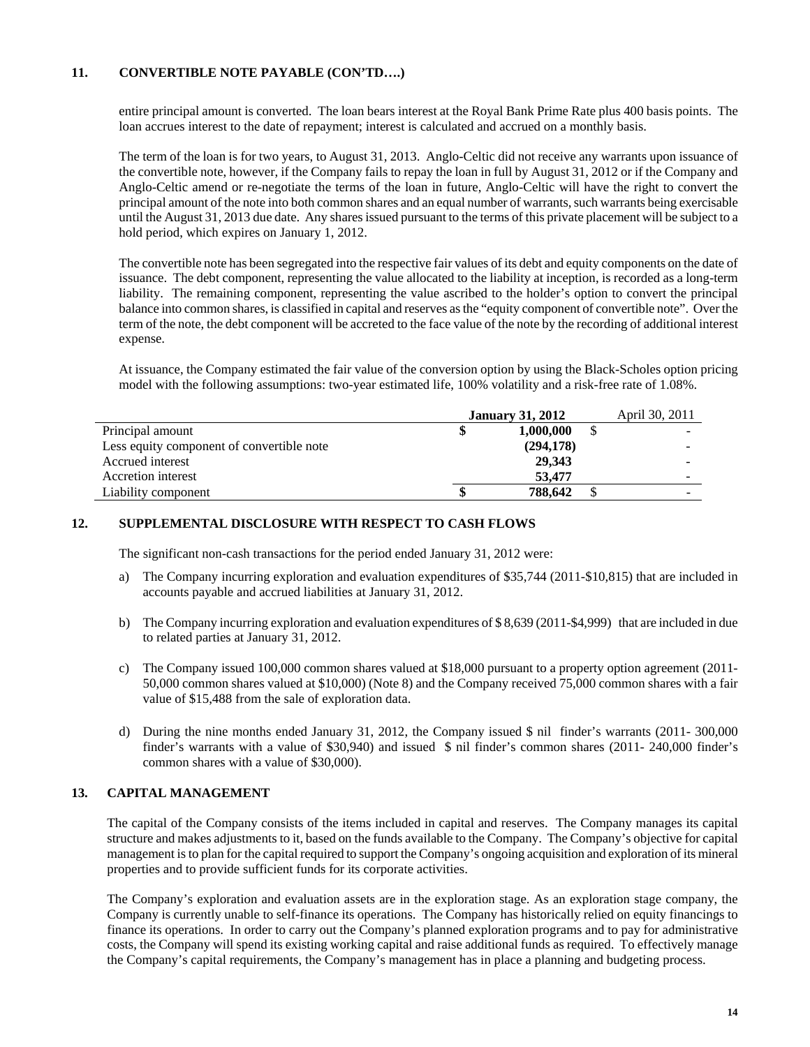## **11. CONVERTIBLE NOTE PAYABLE (CON'TD….)**

 entire principal amount is converted. The loan bears interest at the Royal Bank Prime Rate plus 400 basis points. The loan accrues interest to the date of repayment; interest is calculated and accrued on a monthly basis.

 The term of the loan is for two years, to August 31, 2013. Anglo-Celtic did not receive any warrants upon issuance of the convertible note, however, if the Company fails to repay the loan in full by August 31, 2012 or if the Company and Anglo-Celtic amend or re-negotiate the terms of the loan in future, Anglo-Celtic will have the right to convert the principal amount of the note into both common shares and an equal number of warrants, such warrants being exercisable until the August 31, 2013 due date. Any shares issued pursuant to the terms of this private placement will be subject to a hold period, which expires on January 1, 2012.

The convertible note has been segregated into the respective fair values of its debt and equity components on the date of issuance. The debt component, representing the value allocated to the liability at inception, is recorded as a long-term liability. The remaining component, representing the value ascribed to the holder's option to convert the principal balance into common shares, is classified in capital and reserves as the "equity component of convertible note". Over the term of the note, the debt component will be accreted to the face value of the note by the recording of additional interest expense.

At issuance, the Company estimated the fair value of the conversion option by using the Black-Scholes option pricing model with the following assumptions: two-year estimated life, 100% volatility and a risk-free rate of 1.08%.

|                                           | <b>January 31, 2012</b> | April 30, 2011 |
|-------------------------------------------|-------------------------|----------------|
| Principal amount                          | 1,000,000               |                |
| Less equity component of convertible note | (294, 178)              |                |
| Accrued interest                          | 29.343                  |                |
| Accretion interest                        | 53,477                  |                |
| Liability component                       | 788.642                 |                |

## **12. SUPPLEMENTAL DISCLOSURE WITH RESPECT TO CASH FLOWS**

The significant non-cash transactions for the period ended January 31, 2012 were:

- a) The Company incurring exploration and evaluation expenditures of \$35,744 (2011-\$10,815) that are included in accounts payable and accrued liabilities at January 31, 2012.
- b) The Company incurring exploration and evaluation expenditures of \$ 8,639 (2011-\$4,999) that are included in due to related parties at January 31, 2012.
- c) The Company issued 100,000 common shares valued at \$18,000 pursuant to a property option agreement (2011- 50,000 common shares valued at \$10,000) (Note 8) and the Company received 75,000 common shares with a fair value of \$15,488 from the sale of exploration data.
- d) During the nine months ended January 31, 2012, the Company issued \$ nil finder's warrants (2011- 300,000 finder's warrants with a value of \$30,940) and issued \$ nil finder's common shares (2011- 240,000 finder's common shares with a value of \$30,000).

## **13. CAPITAL MANAGEMENT**

 The capital of the Company consists of the items included in capital and reserves. The Company manages its capital structure and makes adjustments to it, based on the funds available to the Company. The Company's objective for capital management is to plan for the capital required to support the Company's ongoing acquisition and exploration of its mineral properties and to provide sufficient funds for its corporate activities.

 The Company's exploration and evaluation assets are in the exploration stage. As an exploration stage company, the Company is currently unable to self-finance its operations. The Company has historically relied on equity financings to finance its operations. In order to carry out the Company's planned exploration programs and to pay for administrative costs, the Company will spend its existing working capital and raise additional funds as required. To effectively manage the Company's capital requirements, the Company's management has in place a planning and budgeting process.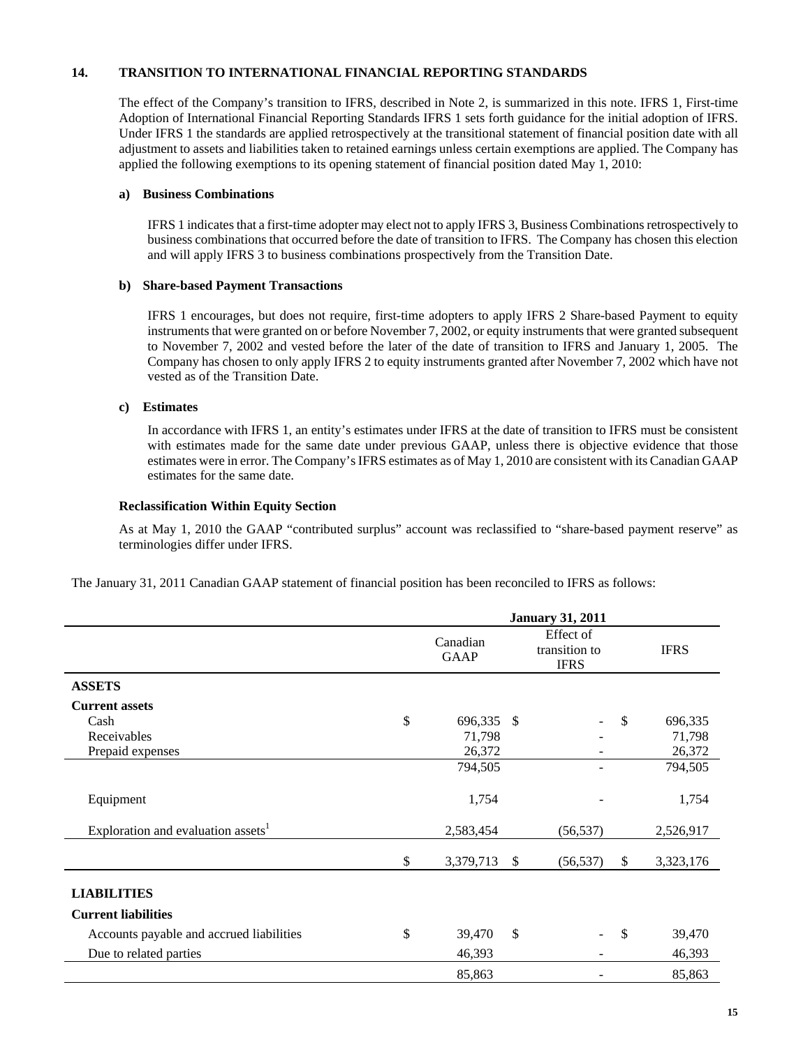## **14. TRANSITION TO INTERNATIONAL FINANCIAL REPORTING STANDARDS**

The effect of the Company's transition to IFRS, described in Note 2, is summarized in this note. IFRS 1, First-time Adoption of International Financial Reporting Standards IFRS 1 sets forth guidance for the initial adoption of IFRS. Under IFRS 1 the standards are applied retrospectively at the transitional statement of financial position date with all adjustment to assets and liabilities taken to retained earnings unless certain exemptions are applied. The Company has applied the following exemptions to its opening statement of financial position dated May 1, 2010:

#### **a) Business Combinations**

IFRS 1 indicates that a first-time adopter may elect not to apply IFRS 3, Business Combinations retrospectively to business combinations that occurred before the date of transition to IFRS. The Company has chosen this election and will apply IFRS 3 to business combinations prospectively from the Transition Date.

#### **b) Share-based Payment Transactions**

IFRS 1 encourages, but does not require, first-time adopters to apply IFRS 2 Share-based Payment to equity instruments that were granted on or before November 7, 2002, or equity instruments that were granted subsequent to November 7, 2002 and vested before the later of the date of transition to IFRS and January 1, 2005. The Company has chosen to only apply IFRS 2 to equity instruments granted after November 7, 2002 which have not vested as of the Transition Date.

#### **c) Estimates**

In accordance with IFRS 1, an entity's estimates under IFRS at the date of transition to IFRS must be consistent with estimates made for the same date under previous GAAP, unless there is objective evidence that those estimates were in error. The Company's IFRS estimates as of May 1, 2010 are consistent with its Canadian GAAP estimates for the same date.

#### **Reclassification Within Equity Section**

As at May 1, 2010 the GAAP "contributed surplus" account was reclassified to "share-based payment reserve" as terminologies differ under IFRS.

The January 31, 2011 Canadian GAAP statement of financial position has been reconciled to IFRS as follows:

|                                                | <b>January 31, 2011</b> |                                           |           |               |           |  |  |
|------------------------------------------------|-------------------------|-------------------------------------------|-----------|---------------|-----------|--|--|
|                                                | Canadian<br><b>GAAP</b> | Effect of<br>transition to<br><b>IFRS</b> |           | <b>IFRS</b>   |           |  |  |
| <b>ASSETS</b>                                  |                         |                                           |           |               |           |  |  |
| <b>Current assets</b>                          |                         |                                           |           |               |           |  |  |
| Cash                                           | \$<br>696,335           | - \$                                      |           | $\mathbb{S}$  | 696,335   |  |  |
| Receivables                                    | 71,798                  |                                           |           |               | 71,798    |  |  |
| Prepaid expenses                               | 26,372                  |                                           |           |               | 26,372    |  |  |
|                                                | 794,505                 |                                           |           |               | 794,505   |  |  |
| Equipment                                      | 1,754                   |                                           |           |               | 1,754     |  |  |
| Exploration and evaluation assets <sup>1</sup> | 2,583,454               |                                           | (56, 537) |               | 2,526,917 |  |  |
|                                                | \$<br>3,379,713         | <sup>\$</sup>                             | (56, 537) | $\mathbb{S}$  | 3,323,176 |  |  |
| <b>LIABILITIES</b>                             |                         |                                           |           |               |           |  |  |
| <b>Current liabilities</b>                     |                         |                                           |           |               |           |  |  |
| Accounts payable and accrued liabilities       | \$<br>39,470            | $\mathbb{S}$                              |           | <sup>\$</sup> | 39,470    |  |  |
| Due to related parties                         | 46,393                  |                                           |           |               | 46,393    |  |  |
|                                                | 85,863                  |                                           |           |               | 85,863    |  |  |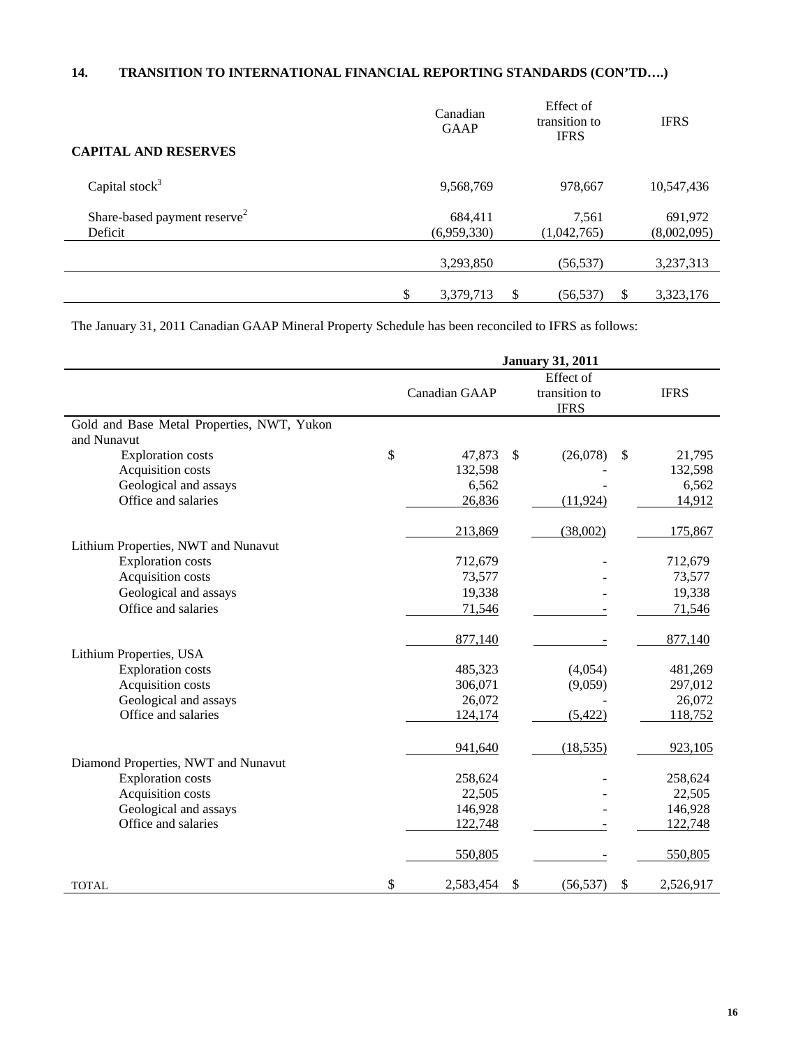# **14. TRANSITION TO INTERNATIONAL FINANCIAL REPORTING STANDARDS (CON'TD….)**

| <b>CAPITAL AND RESERVES</b>              | Canadian<br><b>GAAP</b> |   | Effect of<br>transition to<br><b>IFRS</b> |    | <b>IFRS</b> |
|------------------------------------------|-------------------------|---|-------------------------------------------|----|-------------|
|                                          |                         |   |                                           |    |             |
| Capital stock $3$                        | 9,568,769               |   | 978,667                                   |    | 10,547,436  |
| Share-based payment reserve <sup>2</sup> | 684,411                 |   | 7,561                                     |    | 691,972     |
| Deficit                                  | (6,959,330)             |   | (1,042,765)                               |    | (8,002,095) |
|                                          |                         |   |                                           |    |             |
|                                          | 3,293,850               |   | (56, 537)                                 |    | 3,237,313   |
|                                          |                         |   |                                           |    |             |
|                                          | \$<br>3,379,713         | S | (56, 537)                                 | \$ | 3,323,176   |

The January 31, 2011 Canadian GAAP Mineral Property Schedule has been reconciled to IFRS as follows:

|                                            | <b>January 31, 2011</b> |               |                                           |      |             |  |  |
|--------------------------------------------|-------------------------|---------------|-------------------------------------------|------|-------------|--|--|
|                                            | Canadian GAAP           |               | Effect of<br>transition to<br><b>IFRS</b> |      | <b>IFRS</b> |  |  |
| Gold and Base Metal Properties, NWT, Yukon |                         |               |                                           |      |             |  |  |
| and Nunavut                                |                         |               |                                           |      |             |  |  |
| <b>Exploration costs</b>                   | \$<br>47,873            | <sup>\$</sup> | (26,078)                                  | \$   | 21,795      |  |  |
| Acquisition costs                          | 132,598                 |               |                                           |      | 132,598     |  |  |
| Geological and assays                      | 6,562                   |               |                                           |      | 6,562       |  |  |
| Office and salaries                        | 26,836                  |               | (11, 924)                                 |      | 14,912      |  |  |
|                                            | 213,869                 |               | (38,002)                                  |      | 175,867     |  |  |
| Lithium Properties, NWT and Nunavut        |                         |               |                                           |      |             |  |  |
| <b>Exploration costs</b>                   | 712,679                 |               |                                           |      | 712,679     |  |  |
| Acquisition costs                          | 73,577                  |               |                                           |      | 73,577      |  |  |
| Geological and assays                      | 19,338                  |               |                                           |      | 19,338      |  |  |
| Office and salaries                        | 71,546                  |               |                                           |      | 71,546      |  |  |
|                                            | 877,140                 |               |                                           |      | 877,140     |  |  |
| Lithium Properties, USA                    |                         |               |                                           |      |             |  |  |
| <b>Exploration costs</b>                   | 485,323                 |               | (4,054)                                   |      | 481,269     |  |  |
| Acquisition costs                          | 306,071                 |               | (9,059)                                   |      | 297,012     |  |  |
| Geological and assays                      | 26,072                  |               |                                           |      | 26,072      |  |  |
| Office and salaries                        | 124,174                 |               | (5, 422)                                  |      | 118,752     |  |  |
|                                            | 941,640                 |               | (18, 535)                                 |      | 923,105     |  |  |
| Diamond Properties, NWT and Nunavut        |                         |               |                                           |      |             |  |  |
| <b>Exploration costs</b>                   | 258,624                 |               |                                           |      | 258,624     |  |  |
| Acquisition costs                          | 22,505                  |               |                                           |      | 22,505      |  |  |
| Geological and assays                      | 146,928                 |               |                                           |      | 146,928     |  |  |
| Office and salaries                        | 122,748                 |               |                                           |      | 122,748     |  |  |
|                                            | 550,805                 |               |                                           |      | 550,805     |  |  |
| <b>TOTAL</b>                               | \$<br>2,583,454         | $\mathcal{S}$ | (56, 537)                                 | $\$$ | 2,526,917   |  |  |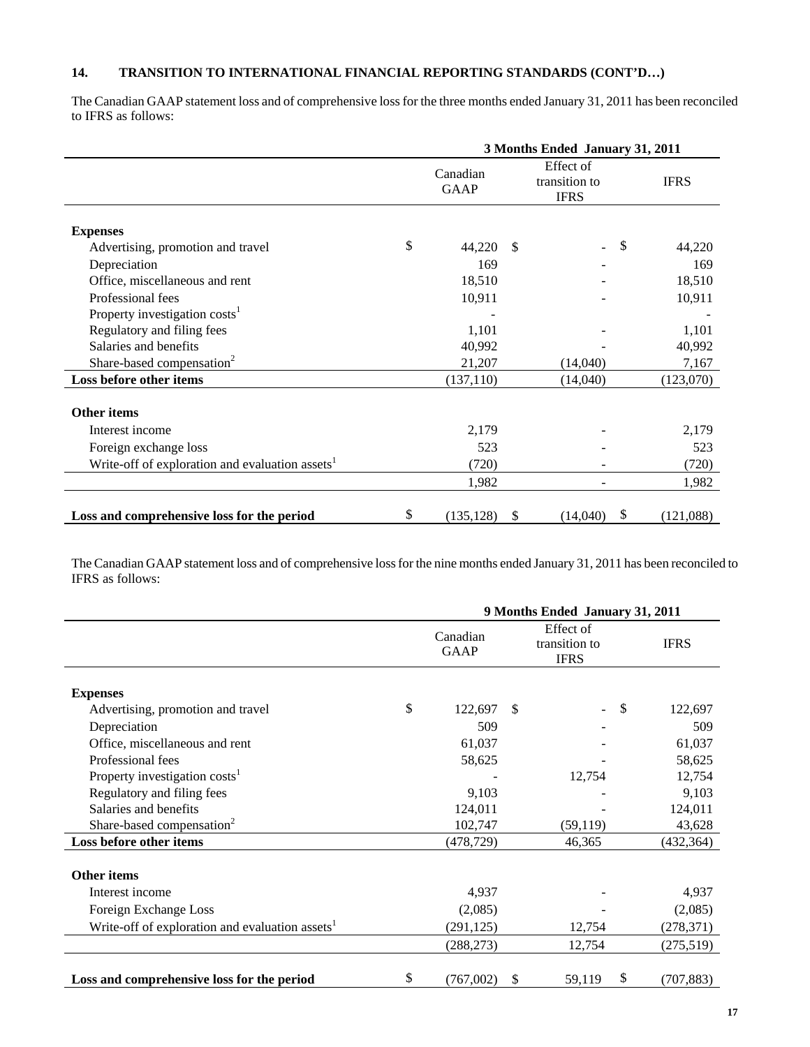# **14. TRANSITION TO INTERNATIONAL FINANCIAL REPORTING STANDARDS (CONT'D…)**

The Canadian GAAP statement loss and of comprehensive loss for the three months ended January 31, 2011 has been reconciled to IFRS as follows:

|                                                             |    | 3 Months Ended January 31, 2011 |    |                                           |             |  |  |
|-------------------------------------------------------------|----|---------------------------------|----|-------------------------------------------|-------------|--|--|
| <b>Expenses</b>                                             |    | Canadian<br><b>GAAP</b>         |    | Effect of<br>transition to<br><b>IFRS</b> | <b>IFRS</b> |  |  |
|                                                             |    |                                 |    |                                           |             |  |  |
| Advertising, promotion and travel                           | \$ | 44,220                          | -S | \$                                        | 44,220      |  |  |
| Depreciation                                                |    | 169                             |    |                                           | 169         |  |  |
| Office, miscellaneous and rent                              |    | 18,510                          |    |                                           | 18,510      |  |  |
| Professional fees                                           |    | 10,911                          |    |                                           | 10,911      |  |  |
| Property investigation costs <sup>1</sup>                   |    |                                 |    |                                           |             |  |  |
| Regulatory and filing fees                                  |    | 1,101                           |    |                                           | 1,101       |  |  |
| Salaries and benefits                                       |    | 40,992                          |    |                                           | 40,992      |  |  |
| Share-based compensation <sup>2</sup>                       |    | 21,207                          |    | (14,040)                                  | 7,167       |  |  |
| Loss before other items                                     |    | (137, 110)                      |    | (14,040)                                  | (123,070)   |  |  |
| <b>Other items</b>                                          |    |                                 |    |                                           |             |  |  |
| Interest income                                             |    | 2,179                           |    |                                           | 2,179       |  |  |
| Foreign exchange loss                                       |    | 523                             |    |                                           | 523         |  |  |
| Write-off of exploration and evaluation assets <sup>1</sup> |    | (720)                           |    |                                           | (720)       |  |  |
|                                                             |    | 1,982                           |    |                                           | 1,982       |  |  |
| Loss and comprehensive loss for the period                  | \$ | (135, 128)                      | \$ | \$<br>(14,040)                            | (121,088)   |  |  |

The Canadian GAAP statement loss and of comprehensive loss for the nine months ended January 31, 2011 has been reconciled to IFRS as follows:

|                                                             | 9 Months Ended January 31, 2011 |               |                                           |               |            |  |  |
|-------------------------------------------------------------|---------------------------------|---------------|-------------------------------------------|---------------|------------|--|--|
|                                                             | Canadian<br><b>GAAP</b>         |               | Effect of<br>transition to<br><b>IFRS</b> | <b>IFRS</b>   |            |  |  |
| <b>Expenses</b>                                             |                                 |               |                                           |               |            |  |  |
| Advertising, promotion and travel                           | \$<br>122,697                   | <sup>\$</sup> |                                           | $\mathcal{S}$ | 122,697    |  |  |
| Depreciation                                                | 509                             |               |                                           |               | 509        |  |  |
| Office, miscellaneous and rent                              | 61,037                          |               |                                           |               | 61,037     |  |  |
| Professional fees                                           | 58,625                          |               |                                           |               | 58,625     |  |  |
| Property investigation costs <sup>1</sup>                   |                                 |               | 12,754                                    |               | 12,754     |  |  |
| Regulatory and filing fees                                  | 9,103                           |               |                                           |               | 9,103      |  |  |
| Salaries and benefits                                       | 124,011                         |               |                                           |               | 124,011    |  |  |
| Share-based compensation <sup>2</sup>                       | 102,747                         |               | (59, 119)                                 |               | 43,628     |  |  |
| Loss before other items                                     | (478, 729)                      |               | 46,365                                    |               | (432, 364) |  |  |
| <b>Other items</b>                                          |                                 |               |                                           |               |            |  |  |
| Interest income                                             | 4,937                           |               |                                           |               | 4,937      |  |  |
| Foreign Exchange Loss                                       | (2,085)                         |               |                                           |               | (2,085)    |  |  |
| Write-off of exploration and evaluation assets <sup>1</sup> | (291, 125)                      |               | 12,754                                    |               | (278, 371) |  |  |
|                                                             | (288, 273)                      |               | 12,754                                    |               | (275,519)  |  |  |
|                                                             |                                 |               |                                           |               |            |  |  |
| Loss and comprehensive loss for the period                  | \$<br>(767,002)                 | <sup>\$</sup> | 59,119                                    | \$            | (707, 883) |  |  |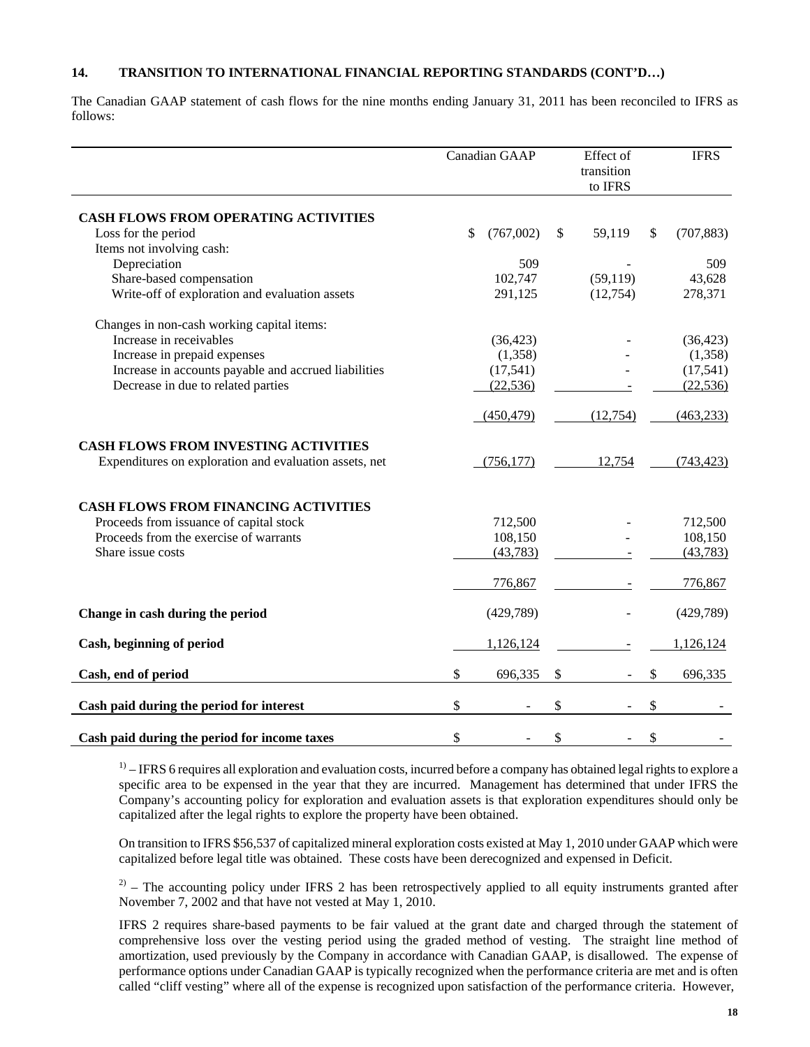## **14. TRANSITION TO INTERNATIONAL FINANCIAL REPORTING STANDARDS (CONT'D…)**

The Canadian GAAP statement of cash flows for the nine months ending January 31, 2011 has been reconciled to IFRS as follows:

|                                                        | Canadian GAAP   | Effect of<br>transition<br>to IFRS |              | <b>IFRS</b> |
|--------------------------------------------------------|-----------------|------------------------------------|--------------|-------------|
| <b>CASH FLOWS FROM OPERATING ACTIVITIES</b>            |                 |                                    |              |             |
| Loss for the period                                    | \$<br>(767,002) | \$<br>59,119                       | $\mathbb{S}$ | (707, 883)  |
| Items not involving cash:                              |                 |                                    |              |             |
| Depreciation                                           | 509             |                                    |              | 509         |
| Share-based compensation                               | 102,747         | (59, 119)                          |              | 43,628      |
| Write-off of exploration and evaluation assets         | 291,125         | (12,754)                           |              | 278,371     |
| Changes in non-cash working capital items:             |                 |                                    |              |             |
| Increase in receivables                                | (36, 423)       |                                    |              | (36, 423)   |
| Increase in prepaid expenses                           | (1,358)         |                                    |              | (1,358)     |
| Increase in accounts payable and accrued liabilities   | (17,541)        |                                    |              | (17, 541)   |
| Decrease in due to related parties                     | (22, 536)       |                                    |              | (22, 536)   |
|                                                        | (450, 479)      | (12, 754)                          |              | (463, 233)  |
| <b>CASH FLOWS FROM INVESTING ACTIVITIES</b>            |                 |                                    |              |             |
| Expenditures on exploration and evaluation assets, net | (756, 177)      | 12,754                             |              | (743, 423)  |
| <b>CASH FLOWS FROM FINANCING ACTIVITIES</b>            |                 |                                    |              |             |
| Proceeds from issuance of capital stock                | 712,500         |                                    |              | 712,500     |
| Proceeds from the exercise of warrants                 | 108,150         |                                    |              | 108,150     |
| Share issue costs                                      | (43, 783)       |                                    |              | (43, 783)   |
|                                                        | 776,867         |                                    |              | 776,867     |
| Change in cash during the period                       | (429,789)       |                                    |              | (429, 789)  |
| Cash, beginning of period                              | 1,126,124       |                                    |              | 1,126,124   |
| Cash, end of period                                    | \$<br>696,335   | \$                                 | \$           | 696,335     |
| Cash paid during the period for interest               | \$              | \$                                 | \$           |             |
| Cash paid during the period for income taxes           | \$              | \$                                 | \$           |             |

 $1)$  – IFRS 6 requires all exploration and evaluation costs, incurred before a company has obtained legal rights to explore a specific area to be expensed in the year that they are incurred. Management has determined that under IFRS the Company's accounting policy for exploration and evaluation assets is that exploration expenditures should only be capitalized after the legal rights to explore the property have been obtained.

 On transition to IFRS \$56,537 of capitalized mineral exploration costs existed at May 1, 2010 under GAAP which were capitalized before legal title was obtained. These costs have been derecognized and expensed in Deficit.

 $2^{2)}$  – The accounting policy under IFRS 2 has been retrospectively applied to all equity instruments granted after November 7, 2002 and that have not vested at May 1, 2010.

IFRS 2 requires share-based payments to be fair valued at the grant date and charged through the statement of comprehensive loss over the vesting period using the graded method of vesting. The straight line method of amortization, used previously by the Company in accordance with Canadian GAAP, is disallowed. The expense of performance options under Canadian GAAP is typically recognized when the performance criteria are met and is often called "cliff vesting" where all of the expense is recognized upon satisfaction of the performance criteria. However,